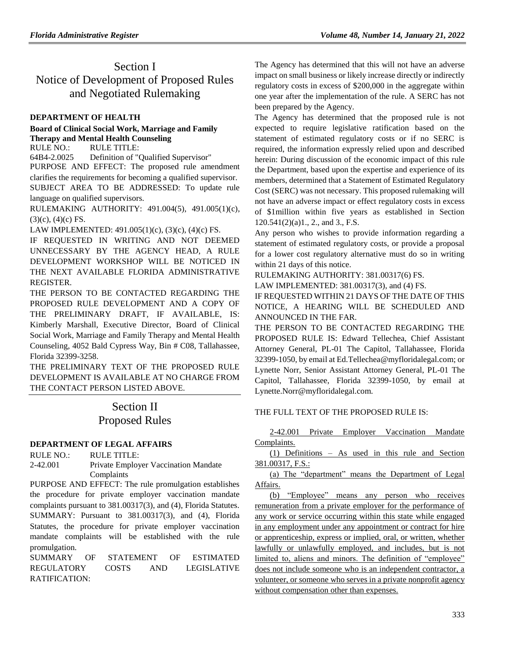# Section I Notice of Development of Proposed Rules and Negotiated Rulemaking

## **[DEPARTMENT OF HEALTH](https://www.flrules.org/gateway/department.asp?id=64)**

# **[Board of Clinical Social Work, Marriage and Family](https://www.flrules.org/gateway/organization.asp?id=327)  [Therapy and Mental Health Counseling](https://www.flrules.org/gateway/organization.asp?id=327)**

RULE NO.: RULE TITLE:

[64B4-2.0025](https://www.flrules.org/gateway/ruleNo.asp?id=64B4-2.0025) Definition of "Qualified Supervisor" PURPOSE AND EFFECT: The proposed rule amendment clarifies the requirements for becoming a qualified supervisor. SUBJECT AREA TO BE ADDRESSED: To update rule language on qualified supervisors.

RULEMAKING AUTHORITY: [491.004\(5\),](https://www.flrules.org/gateway/statute.asp?id=491.004(5)) [491.005\(1\)\(c\),](https://www.flrules.org/gateway/statute.asp?id=%20491.005(1)(c))  $(3)(c)$ ,  $(4)(c)$  FS.

LAW IMPLEMENTED: [491.005\(1\)\(c\),](https://www.flrules.org/gateway/statute.asp?id=491.005(1)(c)) (3)(c), (4)(c) FS.

IF REQUESTED IN WRITING AND NOT DEEMED UNNECESSARY BY THE AGENCY HEAD, A RULE DEVELOPMENT WORKSHOP WILL BE NOTICED IN THE NEXT AVAILABLE FLORIDA ADMINISTRATIVE REGISTER.

THE PERSON TO BE CONTACTED REGARDING THE PROPOSED RULE DEVELOPMENT AND A COPY OF THE PRELIMINARY DRAFT, IF AVAILABLE, IS: Kimberly Marshall, Executive Director, Board of Clinical Social Work, Marriage and Family Therapy and Mental Health Counseling, 4052 Bald Cypress Way, Bin # C08, Tallahassee, Florida 32399-3258.

THE PRELIMINARY TEXT OF THE PROPOSED RULE DEVELOPMENT IS AVAILABLE AT NO CHARGE FROM THE CONTACT PERSON LISTED ABOVE.

# Section II Proposed Rules

# **[DEPARTMENT OF LEGAL AFFAIRS](https://www.flrules.org/gateway/department.asp?id=2)**

RULE NO.: RULE TITLE: [2-42.001](https://www.flrules.org/gateway/ruleNo.asp?id=2-42.001) Private Employer Vaccination Mandate Complaints

PURPOSE AND EFFECT: The rule promulgation establishes the procedure for private employer vaccination mandate complaints pursuant to 381.00317(3), and (4), Florida Statutes. SUMMARY: Pursuant to 381.00317(3), and (4), Florida Statutes, the procedure for private employer vaccination mandate complaints will be established with the rule promulgation.

SUMMARY OF STATEMENT OF ESTIMATED REGULATORY COSTS AND LEGISLATIVE RATIFICATION:

The Agency has determined that this will not have an adverse impact on small business or likely increase directly or indirectly regulatory costs in excess of \$200,000 in the aggregate within one year after the implementation of the rule. A SERC has not been prepared by the Agency.

The Agency has determined that the proposed rule is not expected to require legislative ratification based on the statement of estimated regulatory costs or if no SERC is required, the information expressly relied upon and described herein: During discussion of the economic impact of this rule the Department, based upon the expertise and experience of its members, determined that a Statement of Estimated Regulatory Cost (SERC) was not necessary. This proposed rulemaking will not have an adverse impact or effect regulatory costs in excess of \$1million within five years as established in Section 120.541(2)(a)1., 2., and 3., F.S.

Any person who wishes to provide information regarding a statement of estimated regulatory costs, or provide a proposal for a lower cost regulatory alternative must do so in writing within 21 days of this notice.

RULEMAKING AUTHORITY: [381.00317\(6\) FS.](https://www.flrules.org/gateway/statute.asp?id=381.00317(6)%20FS.)

LAW IMPLEMENTED: [381.00317\(3\),](https://www.flrules.org/gateway/statute.asp?id=381.00317(3)) and (4) FS. IF REQUESTED WITHIN 21 DAYS OF THE DATE OF THIS NOTICE, A HEARING WILL BE SCHEDULED AND ANNOUNCED IN THE FAR.

THE PERSON TO BE CONTACTED REGARDING THE PROPOSED RULE IS: Edward Tellechea, Chief Assistant Attorney General, PL-01 The Capitol, Tallahassee, Florida 32399-1050, by email at Ed.Tellechea@myfloridalegal.com; or Lynette Norr, Senior Assistant Attorney General, PL-01 The Capitol, Tallahassee, Florida 32399-1050, by email at Lynette.Norr@myfloridalegal.com.

# THE FULL TEXT OF THE PROPOSED RULE IS:

2-42.001 Private Employer Vaccination Mandate Complaints.

(1) Definitions – As used in this rule and Section 381.00317, F.S.:

(a) The "department" means the Department of Legal Affairs.

(b) "Employee" means any person who receives remuneration from a private employer for the performance of any work or service occurring within this state while engaged in any employment under any appointment or contract for hire or apprenticeship, express or implied, oral, or written, whether lawfully or unlawfully employed, and includes, but is not limited to, aliens and minors. The definition of "employee" does not include someone who is an independent contractor, a volunteer, or someone who serves in a private nonprofit agency without compensation other than expenses.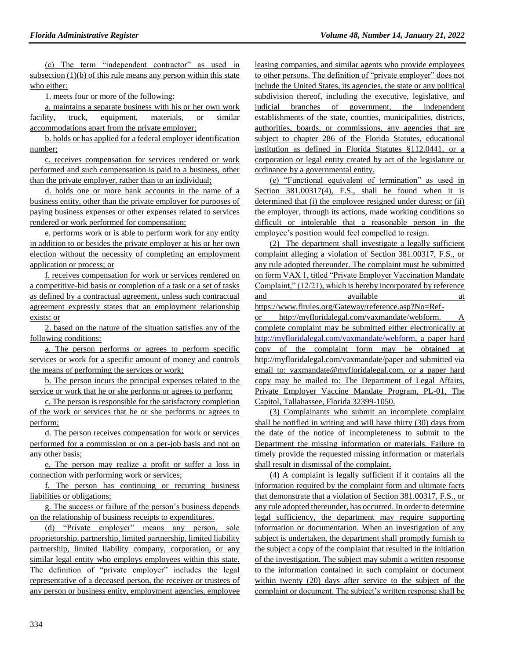(c) The term "independent contractor" as used in subsection  $(1)(b)$  of this rule means any person within this state who either:

1. meets four or more of the following:

a. maintains a separate business with his or her own work facility, truck, equipment, materials, or similar accommodations apart from the private employer;

b. holds or has applied for a federal employer identification number;

c. receives compensation for services rendered or work performed and such compensation is paid to a business, other than the private employer, rather than to an individual;

d. holds one or more bank accounts in the name of a business entity, other than the private employer for purposes of paying business expenses or other expenses related to services rendered or work performed for compensation;

e. performs work or is able to perform work for any entity in addition to or besides the private employer at his or her own election without the necessity of completing an employment application or process; or

f. receives compensation for work or services rendered on a competitive-bid basis or completion of a task or a set of tasks as defined by a contractual agreement, unless such contractual agreement expressly states that an employment relationship exists; or

2. based on the nature of the situation satisfies any of the following conditions:

a. The person performs or agrees to perform specific services or work for a specific amount of money and controls the means of performing the services or work;

b. The person incurs the principal expenses related to the service or work that he or she performs or agrees to perform;

c. The person is responsible for the satisfactory completion of the work or services that he or she performs or agrees to perform;

d. The person receives compensation for work or services performed for a commission or on a per-job basis and not on any other basis;

e. The person may realize a profit or suffer a loss in connection with performing work or services;

f. The person has continuing or recurring business liabilities or obligations;

g. The success or failure of the person's business depends on the relationship of business receipts to expenditures.

(d) "Private employer" means any person, sole proprietorship, partnership, limited partnership, limited liability partnership, limited liability company, corporation, or any similar legal entity who employs employees within this state. The definition of "private employer" includes the legal representative of a deceased person, the receiver or trustees of any person or business entity, employment agencies, employee

leasing companies, and similar agents who provide employees to other persons. The definition of "private employer" does not include the United States, its agencies, the state or any political subdivision thereof, including the executive, legislative, and judicial branches of government, the independent establishments of the state, counties, municipalities, districts, authorities, boards, or commissions, any agencies that are subject to chapter 286 of the Florida Statutes, educational institution as defined in Florida Statutes §112.0441, or a corporation or legal entity created by act of the legislature or ordinance by a governmental entity.

(e) "Functional equivalent of termination" as used in Section 381.00317(4), F.S., shall be found when it is determined that (i) the employee resigned under duress; or (ii) the employer, through its actions, made working conditions so difficult or intolerable that a reasonable person in the employee's position would feel compelled to resign.

(2) The department shall investigate a legally sufficient complaint alleging a violation of Section 381.00317, F.S., or any rule adopted thereunder. The complaint must be submitted on form VAX 1, titled "Private Employer Vaccination Mandate Complaint," (12/21), which is hereby incorporated by reference and available at a state at a state at  $\alpha$ https://www.flrules.org/Gateway/reference.asp?No=Ref-

or http://myfloridalegal.com/vaxmandate/webform. A complete complaint may be submitted either electronically at [http://myfloridalegal.com/vaxmandate/webform,](http://myfloridalegal.com/vaxmandate/webform) a paper hard copy of the complaint form may be obtained at http://myfloridalegal.com/vaxmandate/paper and submitted via email to: vaxmandate@myfloridalegal.com, or a paper hard copy may be mailed to: The Department of Legal Affairs, Private Employer Vaccine Mandate Program, PL-01, The Capitol, Tallahassee, Florida 32399-1050.

(3) Complainants who submit an incomplete complaint shall be notified in writing and will have thirty (30) days from the date of the notice of incompleteness to submit to the Department the missing information or materials. Failure to timely provide the requested missing information or materials shall result in dismissal of the complaint.

(4) A complaint is legally sufficient if it contains all the information required by the complaint form and ultimate facts that demonstrate that a violation of Section 381.00317, F.S., or any rule adopted thereunder, has occurred. In order to determine legal sufficiency, the department may require supporting information or documentation. When an investigation of any subject is undertaken, the department shall promptly furnish to the subject a copy of the complaint that resulted in the initiation of the investigation. The subject may submit a written response to the information contained in such complaint or document within twenty (20) days after service to the subject of the complaint or document. The subject's written response shall be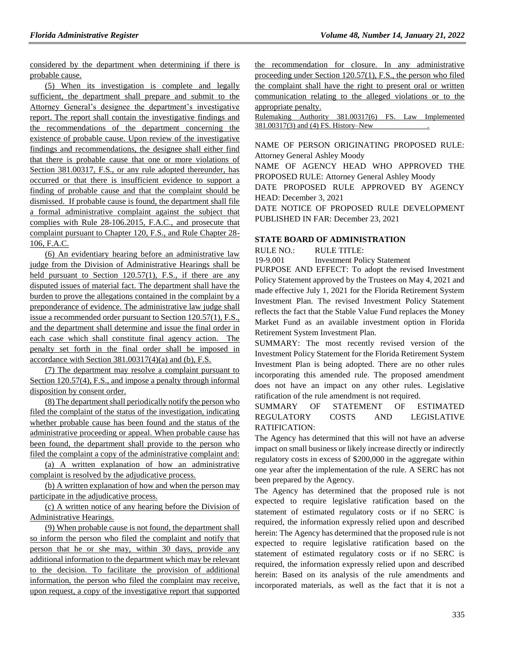considered by the department when determining if there is probable cause.

(5) When its investigation is complete and legally sufficient, the department shall prepare and submit to the Attorney General's designee the department's investigative report. The report shall contain the investigative findings and the recommendations of the department concerning the existence of probable cause. Upon review of the investigative findings and recommendations, the designee shall either find that there is probable cause that one or more violations of Section 381.00317, F.S., or any rule adopted thereunder, has occurred or that there is insufficient evidence to support a finding of probable cause and that the complaint should be dismissed. If probable cause is found, the department shall file a formal administrative complaint against the subject that complies with Rule 28-106.2015, F.A.C., and prosecute that complaint pursuant to Chapter 120, F.S., and Rule Chapter 28- 106, F.A.C.

(6) An evidentiary hearing before an administrative law judge from the Division of Administrative Hearings shall be held pursuant to Section 120.57(1), F.S., if there are any disputed issues of material fact. The department shall have the burden to prove the allegations contained in the complaint by a preponderance of evidence. The administrative law judge shall issue a recommended order pursuant to Section 120.57(1), F.S., and the department shall determine and issue the final order in each case which shall constitute final agency action. The penalty set forth in the final order shall be imposed in accordance with Section  $381.00317(4)$ (a) and (b), F.S.

(7) The department may resolve a complaint pursuant to Section 120.57(4), F.S., and impose a penalty through informal disposition by consent order.

(8) The department shall periodically notify the person who filed the complaint of the status of the investigation, indicating whether probable cause has been found and the status of the administrative proceeding or appeal. When probable cause has been found, the department shall provide to the person who filed the complaint a copy of the administrative complaint and:

(a) A written explanation of how an administrative complaint is resolved by the adjudicative process.

(b) A written explanation of how and when the person may participate in the adjudicative process.

(c) A written notice of any hearing before the Division of Administrative Hearings.

(9) When probable cause is not found, the department shall so inform the person who filed the complaint and notify that person that he or she may, within 30 days, provide any additional information to the department which may be relevant to the decision. To facilitate the provision of additional information, the person who filed the complaint may receive, upon request, a copy of the investigative report that supported the recommendation for closure. In any administrative proceeding under Section 120.57(1), F.S., the person who filed the complaint shall have the right to present oral or written communication relating to the alleged violations or to the appropriate penalty.

Rulemaking Authority 381.00317(6) FS. Law Implemented 381.00317(3) and (4) FS. History–New .

NAME OF PERSON ORIGINATING PROPOSED RULE: Attorney General Ashley Moody NAME OF AGENCY HEAD WHO APPROVED THE PROPOSED RULE: Attorney General Ashley Moody DATE PROPOSED RULE APPROVED BY AGENCY

HEAD: December 3, 2021

DATE NOTICE OF PROPOSED RULE DEVELOPMENT PUBLISHED IN FAR: December 23, 2021

#### **[STATE BOARD OF ADMINISTRATION](https://www.flrules.org/gateway/department.asp?id=19)**

RULE NO.: RULE TITLE:

[19-9.001](https://www.flrules.org/gateway/ruleNo.asp?id=19-9.001) Investment Policy Statement

PURPOSE AND EFFECT: To adopt the revised Investment Policy Statement approved by the Trustees on May 4, 2021 and made effective July 1, 2021 for the Florida Retirement System Investment Plan. The revised Investment Policy Statement reflects the fact that the Stable Value Fund replaces the Money Market Fund as an available investment option in Florida Retirement System Investment Plan.

SUMMARY: The most recently revised version of the Investment Policy Statement for the Florida Retirement System Investment Plan is being adopted. There are no other rules incorporating this amended rule. The proposed amendment does not have an impact on any other rules. Legislative ratification of the rule amendment is not required.

# SUMMARY OF STATEMENT OF ESTIMATED REGULATORY COSTS AND LEGISLATIVE RATIFICATION:

The Agency has determined that this will not have an adverse impact on small business or likely increase directly or indirectly regulatory costs in excess of \$200,000 in the aggregate within one year after the implementation of the rule. A SERC has not been prepared by the Agency.

The Agency has determined that the proposed rule is not expected to require legislative ratification based on the statement of estimated regulatory costs or if no SERC is required, the information expressly relied upon and described herein: The Agency has determined that the proposed rule is not expected to require legislative ratification based on the statement of estimated regulatory costs or if no SERC is required, the information expressly relied upon and described herein: Based on its analysis of the rule amendments and incorporated materials, as well as the fact that it is not a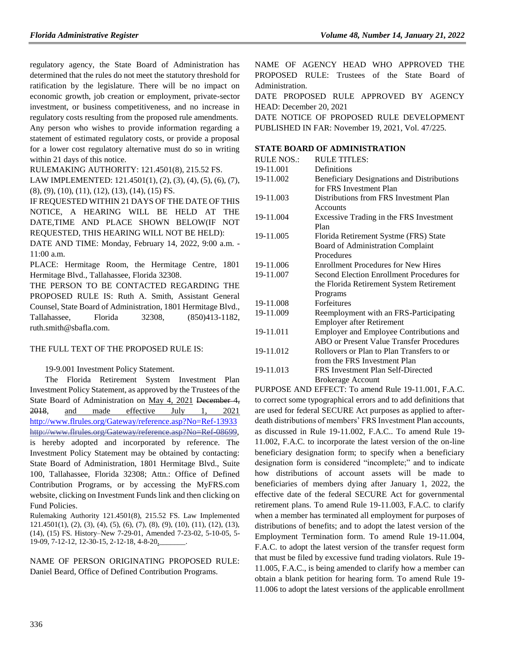regulatory agency, the State Board of Administration has determined that the rules do not meet the statutory threshold for ratification by the legislature. There will be no impact on economic growth, job creation or employment, private-sector investment, or business competitiveness, and no increase in regulatory costs resulting from the proposed rule amendments.

Any person who wishes to provide information regarding a statement of estimated regulatory costs, or provide a proposal for a lower cost regulatory alternative must do so in writing within 21 days of this notice.

RULEMAKING AUTHORITY: [121.4501\(8\),](https://www.flrules.org/gateway/statute.asp?id=121.4501(8)) [215.52 FS.](https://www.flrules.org/gateway/statute.asp?id=%20215.52%20FS.)

LAW IMPLEMENTED: [121.4501\(1\),](https://www.flrules.org/gateway/statute.asp?id=121.4501(1)) (2), (3), (4), (5), (6), (7), (8), (9), (10), (11), (12), (13), (14), (15) FS.

IF REQUESTED WITHIN 21 DAYS OF THE DATE OF THIS NOTICE, A HEARING WILL BE HELD AT THE DATE,TIME AND PLACE SHOWN BELOW(IF NOT REQUESTED, THIS HEARING WILL NOT BE HELD):

DATE AND TIME: Monday, February 14, 2022, 9:00 a.m. - 11:00 a.m.

PLACE: Hermitage Room, the Hermitage Centre, 1801 Hermitage Blvd., Tallahassee, Florida 32308.

THE PERSON TO BE CONTACTED REGARDING THE PROPOSED RULE IS: Ruth A. Smith, Assistant General Counsel, State Board of Administration, 1801 Hermitage Blvd., Tallahassee, Florida 32308, (850)413-1182, ruth.smith@sbafla.com.

#### THE FULL TEXT OF THE PROPOSED RULE IS:

19-9.001 Investment Policy Statement.

The Florida Retirement System Investment Plan Investment Policy Statement, as approved by the Trustees of the State Board of Administration on May 4, 2021 December 4, 2018, and made effective July 1, 2021 <http://www.flrules.org/Gateway/reference.asp?No=Ref-13933> [http://www.flrules.org/Gateway/reference.asp?No=Ref-08699,](http://www.flrules.org/Gateway/reference.asp?No=Ref-08699) is hereby adopted and incorporated by reference. The Investment Policy Statement may be obtained by contacting: State Board of Administration, 1801 Hermitage Blvd., Suite 100, Tallahassee, Florida 32308; Attn.: Office of Defined Contribution Programs, or by accessing the MyFRS.com website, clicking on Investment Funds link and then clicking on Fund Policies.

Rulemaking Authority 121.4501(8), 215.52 FS. Law Implemented 121.4501(1), (2), (3), (4), (5), (6), (7), (8), (9), (10), (11), (12), (13), (14), (15) FS. History–New 7-29-01, Amended 7-23-02, 5-10-05, 5- 19-09, 7-12-12, 12-30-15, 2-12-18, 4-8-20,

NAME OF PERSON ORIGINATING PROPOSED RULE: Daniel Beard, Office of Defined Contribution Programs.

NAME OF AGENCY HEAD WHO APPROVED THE PROPOSED RULE: Trustees of the State Board of Administration.

DATE PROPOSED RULE APPROVED BY AGENCY HEAD: December 20, 2021

DATE NOTICE OF PROPOSED RULE DEVELOPMENT PUBLISHED IN FAR: November 19, 2021, Vol. 47/225.

### **[STATE BOARD OF ADMINISTRATION](https://www.flrules.org/gateway/department.asp?id=19)**

| <b>RULE NOS.:</b> | <b>RULE TITLES:</b>                        |
|-------------------|--------------------------------------------|
|                   |                                            |
| 19-11.001         | Definitions                                |
| 19-11.002         | Beneficiary Designations and Distributions |
|                   | for FRS Investment Plan                    |
| 19-11.003         | Distributions from FRS Investment Plan     |
|                   | Accounts                                   |
| 19-11.004         | Excessive Trading in the FRS Investment    |
|                   | Plan                                       |
| 19-11.005         | Florida Retirement Systme (FRS) State      |
|                   | Board of Administration Complaint          |
|                   | Procedures                                 |
| 19-11.006         | <b>Enrollment Procedures for New Hires</b> |
| 19-11.007         | Second Election Enrollment Procedures for  |
|                   | the Florida Retirement System Retirement   |
|                   | Programs                                   |
| 19-11.008         | Forfeitures                                |
| 19-11.009         | Reemployment with an FRS-Participating     |
|                   | <b>Employer after Retirement</b>           |
| 19-11.011         | Employer and Employee Contributions and    |
|                   | ABO or Present Value Transfer Procedures   |
| 19-11.012         | Rollovers or Plan to Plan Transfers to or  |
|                   | from the FRS Investment Plan               |
| 19-11.013         | FRS Investment Plan Self-Directed          |
|                   | <b>Brokerage Account</b>                   |

PURPOSE AND EFFECT: To amend Rule 19-11.001, F.A.C. to correct some typographical errors and to add definitions that are used for federal SECURE Act purposes as applied to afterdeath distributions of members' FRS Investment Plan accounts, as discussed in Rule 19-11.002, F.A.C.. To amend Rule 19- 11.002, F.A.C. to incorporate the latest version of the on-line beneficiary designation form; to specify when a beneficiary designation form is considered "incomplete;" and to indicate how distributions of account assets will be made to beneficiaries of members dying after January 1, 2022, the effective date of the federal SECURE Act for governmental retirement plans. To amend Rule 19-11.003, F.A.C. to clarify when a member has terminated all employment for purposes of distributions of benefits; and to adopt the latest version of the Employment Termination form. To amend Rule 19-11.004, F.A.C. to adopt the latest version of the transfer request form that must be filed by excessive fund trading violators. Rule 19- 11.005, F.A.C., is being amended to clarify how a member can obtain a blank petition for hearing form. To amend Rule 19- 11.006 to adopt the latest versions of the applicable enrollment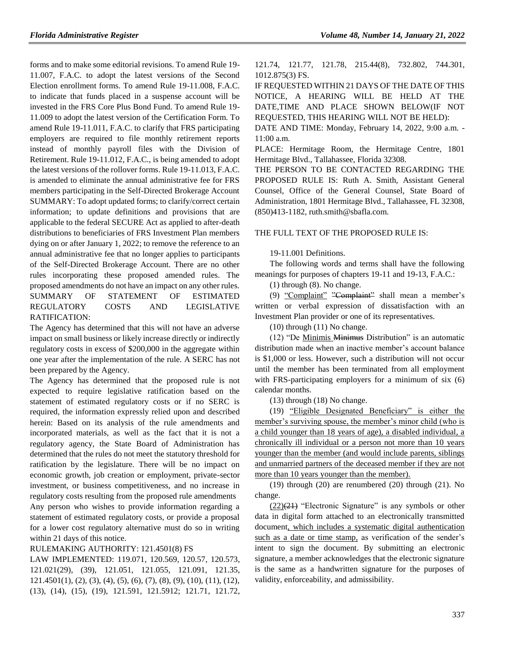forms and to make some editorial revisions. To amend Rule 19- 11.007, F.A.C. to adopt the latest versions of the Second Election enrollment forms. To amend Rule 19-11.008, F.A.C. to indicate that funds placed in a suspense account will be invested in the FRS Core Plus Bond Fund. To amend Rule 19- 11.009 to adopt the latest version of the Certification Form. To amend Rule 19-11.011, F.A.C. to clarify that FRS participating employers are required to file monthly retirement reports instead of monthly payroll files with the Division of Retirement. Rule 19-11.012, F.A.C., is being amended to adopt the latest versions of the rollover forms. Rule 19-11.013, F.A.C. is amended to eliminate the annual administrative fee for FRS members participating in the Self-Directed Brokerage Account SUMMARY: To adopt updated forms; to clarify/correct certain information; to update definitions and provisions that are applicable to the federal SECURE Act as applied to after-death distributions to beneficiaries of FRS Investment Plan members dying on or after January 1, 2022; to remove the reference to an annual administrative fee that no longer applies to participants of the Self-Directed Brokerage Account. There are no other rules incorporating these proposed amended rules. The proposed amendments do not have an impact on any other rules. SUMMARY OF STATEMENT OF ESTIMATED REGULATORY COSTS AND LEGISLATIVE RATIFICATION:

The Agency has determined that this will not have an adverse impact on small business or likely increase directly or indirectly regulatory costs in excess of \$200,000 in the aggregate within one year after the implementation of the rule. A SERC has not been prepared by the Agency.

The Agency has determined that the proposed rule is not expected to require legislative ratification based on the statement of estimated regulatory costs or if no SERC is required, the information expressly relied upon and described herein: Based on its analysis of the rule amendments and incorporated materials, as well as the fact that it is not a regulatory agency, the State Board of Administration has determined that the rules do not meet the statutory threshold for ratification by the legislature. There will be no impact on economic growth, job creation or employment, private-sector investment, or business competitiveness, and no increase in regulatory costs resulting from the proposed rule amendments Any person who wishes to provide information regarding a statement of estimated regulatory costs, or provide a proposal for a lower cost regulatory alternative must do so in writing within 21 days of this notice.

# RULEMAKING AUTHORITY: [121.4501\(8\) FS](https://www.flrules.org/gateway/cfr.asp?id=121.4501(8)%20FS)

LAW IMPLEMENTED: [119.071,](https://www.flrules.org/gateway/statute.asp?id=119.071) [120.569,](https://www.flrules.org/gateway/statute.asp?id=%20120.569) [120.57,](https://www.flrules.org/gateway/statute.asp?id=%20120.57) [120.573,](https://www.flrules.org/gateway/statute.asp?id=%20120.573) [121.021\(29\),](https://www.flrules.org/gateway/statute.asp?id=%20121.021(29)) (39), [121.051,](https://www.flrules.org/gateway/statute.asp?id=%20121.051) [121.055,](https://www.flrules.org/gateway/statute.asp?id=%20121.055) [121.091,](https://www.flrules.org/gateway/statute.asp?id=%20121.091) [121.35,](https://www.flrules.org/gateway/statute.asp?id=%20121.35) [121.4501\(1\),](https://www.flrules.org/gateway/statute.asp?id=%20121.4501(1)) (2), (3), (4), (5), (6), (7), (8), (9), (10), (11), (12), (13), (14), (15), (19), [121.591,](https://www.flrules.org/gateway/statute.asp?id=%20121.591) [121.5912; 121.71,](https://www.flrules.org/gateway/statute.asp?id=%20121.5912;%20121.71) [121.72,](https://www.flrules.org/gateway/statute.asp?id=%20121.72) [121.74,](https://www.flrules.org/gateway/statute.asp?id=%20121.74) [121.77,](https://www.flrules.org/gateway/statute.asp?id=%20121.77) [121.78,](https://www.flrules.org/gateway/statute.asp?id=%20121.78) [215.44\(8\),](https://www.flrules.org/gateway/statute.asp?id=%20215.44(8)) [732.802,](https://www.flrules.org/gateway/statute.asp?id=%20732.802) [744.301,](https://www.flrules.org/gateway/statute.asp?id=%20744.301) [1012.875\(3\) FS.](https://www.flrules.org/gateway/statute.asp?id=%201012.875(3)%20FS.)

IF REQUESTED WITHIN 21 DAYS OF THE DATE OF THIS NOTICE, A HEARING WILL BE HELD AT THE DATE,TIME AND PLACE SHOWN BELOW(IF NOT REQUESTED, THIS HEARING WILL NOT BE HELD):

DATE AND TIME: Monday, February 14, 2022, 9:00 a.m. - 11:00 a.m.

PLACE: Hermitage Room, the Hermitage Centre, 1801 Hermitage Blvd., Tallahassee, Florida 32308.

THE PERSON TO BE CONTACTED REGARDING THE PROPOSED RULE IS: Ruth A. Smith, Assistant General Counsel, Office of the General Counsel, State Board of Administration, 1801 Hermitage Blvd., Tallahassee, FL 32308, (850)413-1182, ruth.smith@sbafla.com.

#### THE FULL TEXT OF THE PROPOSED RULE IS:

#### 19-11.001 Definitions.

The following words and terms shall have the following meanings for purposes of chapters 19-11 and 19-13, F.A.C.:

(1) through (8). No change.

(9) "Complaint" "Complaint" shall mean a member's written or verbal expression of dissatisfaction with an Investment Plan provider or one of its representatives.

(10) through (11) No change.

(12) "De Minimis Minimus Distribution" is an automatic distribution made when an inactive member's account balance is \$1,000 or less. However, such a distribution will not occur until the member has been terminated from all employment with FRS-participating employers for a minimum of six (6) calendar months.

(13) through (18) No change.

(19) "Eligible Designated Beneficiary" is either the member's surviving spouse, the member's minor child (who is a child younger than 18 years of age), a disabled individual, a chronically ill individual or a person not more than 10 years younger than the member (and would include parents, siblings and unmarried partners of the deceased member if they are not more than 10 years younger than the member).

(19) through (20) are renumbered (20) through (21). No change.

 $(22)(21)$  "Electronic Signature" is any symbols or other data in digital form attached to an electronically transmitted document, which includes a systematic digital authentication such as a date or time stamp, as verification of the sender's intent to sign the document. By submitting an electronic signature, a member acknowledges that the electronic signature is the same as a handwritten signature for the purposes of validity, enforceability, and admissibility.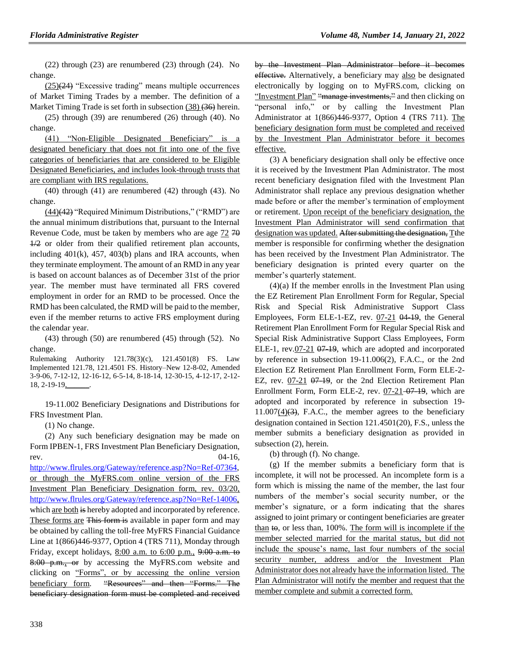(22) through (23) are renumbered (23) through (24). No change.

 $(25)(24)$  "Excessive trading" means multiple occurrences of Market Timing Trades by a member. The definition of a Market Timing Trade is set forth in subsection (38) (36) herein.

(25) through (39) are renumbered (26) through (40). No change.

(41) "Non-Eligible Designated Beneficiary" is a designated beneficiary that does not fit into one of the five categories of beneficiaries that are considered to be Eligible Designated Beneficiaries, and includes look-through trusts that are compliant with IRS regulations.

(40) through (41) are renumbered (42) through (43). No change.

(44)(42) "Required Minimum Distributions," ("RMD") are the annual minimum distributions that, pursuant to the Internal Revenue Code, must be taken by members who are age 72 70  $\frac{1}{2}$  or older from their qualified retirement plan accounts, including  $401(k)$ ,  $457$ ,  $403(b)$  plans and IRA accounts, when they terminate employment. The amount of an RMD in any year is based on account balances as of December 31st of the prior year. The member must have terminated all FRS covered employment in order for an RMD to be processed. Once the RMD has been calculated, the RMD will be paid to the member, even if the member returns to active FRS employment during the calendar year.

(43) through (50) are renumbered (45) through (52). No change.

Rulemaking Authority 121.78(3)(c), 121.4501(8) FS. Law Implemented 121.78, 121.4501 FS. History–New 12-8-02, Amended 3-9-06, 7-12-12, 12-16-12, 6-5-14, 8-18-14, 12-30-15, 4-12-17, 2-12- 18, 2-19-19<u>,</u>

19-11.002 Beneficiary Designations and Distributions for FRS Investment Plan.

(1) No change.

(2) Any such beneficiary designation may be made on Form IPBEN-1, FRS Investment Plan Beneficiary Designation, rev.  $04-16$ ,

[http://www.flrules.org/Gateway/reference.asp?No=Ref-07364,](http://www.flrules.org/Gateway/reference.asp?No=Ref-07364) or through the MyFRS.com online version of the FRS Investment Plan Beneficiary Designation form, rev. 03/20, [http://www.flrules.org/Gateway/reference.asp?No=Ref-14006,](http://www.flrules.org/Gateway/reference.asp?No=Ref-14006) which are both is hereby adopted and incorporated by reference. These forms are This form is available in paper form and may be obtained by calling the toll-free MyFRS Financial Guidance Line at 1(866)446-9377, Option 4 (TRS 711), Monday through Friday, except holidays, 8:00 a.m. to 6:00 p.m., 9:00 a.m. to 8:00 p.m., or by accessing the MyFRS.com website and clicking on "Forms", or by accessing the online version beneficiary form. "Resources" and then "Forms." The beneficiary designation form must be completed and received by the Investment Plan Administrator before it becomes effective. Alternatively, a beneficiary may also be designated electronically by logging on to MyFRS.com, clicking on "Investment Plan" "manage investments," and then clicking on "personal info," or by calling the Investment Plan Administrator at 1(866)446-9377, Option 4 (TRS 711). The beneficiary designation form must be completed and received by the Investment Plan Administrator before it becomes effective.

(3) A beneficiary designation shall only be effective once it is received by the Investment Plan Administrator. The most recent beneficiary designation filed with the Investment Plan Administrator shall replace any previous designation whether made before or after the member's termination of employment or retirement. Upon receipt of the beneficiary designation, the Investment Plan Administrator will send confirmation that designation was updated. After submitting the designation, Tthe member is responsible for confirming whether the designation has been received by the Investment Plan Administrator. The beneficiary designation is printed every quarter on the member's quarterly statement.

(4)(a) If the member enrolls in the Investment Plan using the EZ Retirement Plan Enrollment Form for Regular, Special Risk and Special Risk Administrative Support Class Employees, Form ELE-1-EZ, rev. 07-21 04-19, the General Retirement Plan Enrollment Form for Regular Special Risk and Special Risk Administrative Support Class Employees, Form ELE-1, rev.07-21 07-19, which are adopted and incorporated by reference in subsection 19-11.006(2), F.A.C., or the 2nd Election EZ Retirement Plan Enrollment Form, Form ELE-2- EZ, rev. 07-21 07-19, or the 2nd Election Retirement Plan Enrollment Form, Form ELE-2, rev. 07-21-07-19, which are adopted and incorporated by reference in subsection 19-  $11.007(4)(3)$ , F.A.C., the member agrees to the beneficiary designation contained in Section 121.4501(20), F.S., unless the member submits a beneficiary designation as provided in subsection (2), herein.

(b) through (f). No change.

(g) If the member submits a beneficiary form that is incomplete, it will not be processed. An incomplete form is a form which is missing the name of the member, the last four numbers of the member's social security number, or the member's signature, or a form indicating that the shares assigned to joint primary or contingent beneficiaries are greater than  $t\Theta$ , or less than, 100%. The form will is incomplete if the member selected married for the marital status, but did not include the spouse's name, last four numbers of the social security number, address and/or the Investment Plan Administrator does not already have the information listed. The Plan Administrator will notify the member and request that the member complete and submit a corrected form.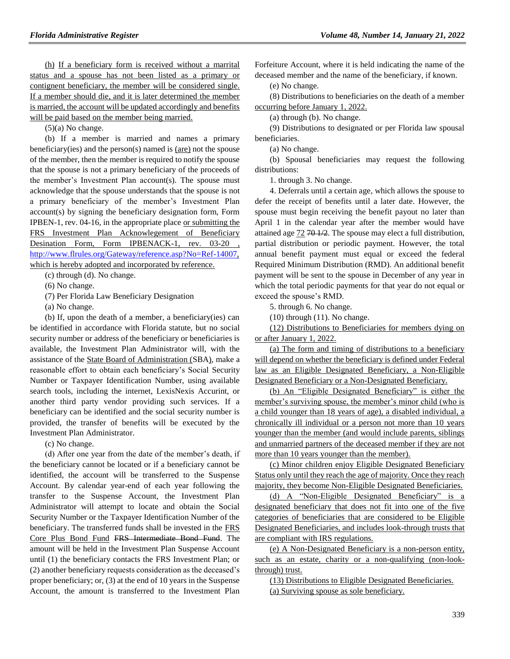(h) If a beneficiary form is received without a marrital status and a spouse has not been listed as a primary or contignent beneficiary, the member will be considered single. If a member should die, and it is later determined the member is married, the account will be updated accordingly and benefits will be paid based on the member being married.

(5)(a) No change.

(b) If a member is married and names a primary beneficiary(ies) and the person(s) named is (are) not the spouse of the member, then the member is required to notify the spouse that the spouse is not a primary beneficiary of the proceeds of the member's Investment Plan account(s). The spouse must acknowledge that the spouse understands that the spouse is not a primary beneficiary of the member's Investment Plan account(s) by signing the beneficiary designation form, Form IPBEN-1, rev. 04-16, in the appropriate place or submitting the FRS Investment Plan Acknowlegement of Beneficiary Desination Form, Form IPBENACK-1, rev. 03-20 , [http://www.flrules.org/Gateway/reference.asp?No=Ref-14007,](http://www.flrules.org/Gateway/reference.asp?No=Ref-14007) which is hereby adopted and incorporated by reference.

(c) through (d). No change.

(6) No change.

(7) Per Florida Law Beneficiary Designation

(a) No change.

(b) If, upon the death of a member, a beneficiary(ies) can be identified in accordance with Florida statute, but no social security number or address of the beneficiary or beneficiaries is available, the Investment Plan Administrator will, with the assistance of the State Board of Administration (SBA), make a reasonable effort to obtain each beneficiary's Social Security Number or Taxpayer Identification Number, using available search tools, including the internet, LexisNexis Accurint, or another third party vendor providing such services. If a beneficiary can be identified and the social security number is provided, the transfer of benefits will be executed by the Investment Plan Administrator.

(c) No change.

(d) After one year from the date of the member's death, if the beneficiary cannot be located or if a beneficiary cannot be identified, the account will be transferred to the Suspense Account. By calendar year-end of each year following the transfer to the Suspense Account, the Investment Plan Administrator will attempt to locate and obtain the Social Security Number or the Taxpayer Identification Number of the beneficiary. The transferred funds shall be invested in the FRS Core Plus Bond Fund FRS Intermediate Bond Fund. The amount will be held in the Investment Plan Suspense Account until (1) the beneficiary contacts the FRS Investment Plan; or (2) another beneficiary requests consideration as the deceased's proper beneficiary; or, (3) at the end of 10 years in the Suspense Account, the amount is transferred to the Investment Plan Forfeiture Account, where it is held indicating the name of the deceased member and the name of the beneficiary, if known.

(e) No change.

(8) Distributions to beneficiaries on the death of a member occurring before January 1, 2022.

(a) through (b). No change.

(9) Distributions to designated or per Florida law spousal beneficiaries.

(a) No change.

(b) Spousal beneficiaries may request the following distributions:

1. through 3. No change.

4. Deferrals until a certain age, which allows the spouse to defer the receipt of benefits until a later date. However, the spouse must begin receiving the benefit payout no later than April 1 in the calendar year after the member would have attained age 72 70 1/2. The spouse may elect a full distribution, partial distribution or periodic payment. However, the total annual benefit payment must equal or exceed the federal Required Minimum Distribution (RMD). An additional benefit payment will be sent to the spouse in December of any year in which the total periodic payments for that year do not equal or exceed the spouse's RMD.

5. through 6. No change.

 $(10)$  through  $(11)$ . No change.

(12) Distributions to Beneficiaries for members dying on or after January 1, 2022.

(a) The form and timing of distributions to a beneficiary will depend on whether the beneficiary is defined under Federal law as an Eligible Designated Beneficiary, a Non-Eligible Designated Beneficiary or a Non-Designated Beneficiary.

(b) An "Eligible Designated Beneficiary" is either the member's surviving spouse, the member's minor child (who is a child younger than 18 years of age), a disabled individual, a chronically ill individual or a person not more than 10 years younger than the member (and would include parents, siblings and unmarried partners of the deceased member if they are not more than 10 years younger than the member).

(c) Minor children enjoy Eligible Designated Beneficiary Status only until they reach the age of majority. Once they reach majority, they become Non-Eligible Designated Beneficiaries.

(d) A "Non-Eligible Designated Beneficiary" is a designated beneficiary that does not fit into one of the five categories of beneficiaries that are considered to be Eligible Designated Beneficiaries, and includes look-through trusts that are compliant with IRS regulations.

(e) A Non-Designated Beneficiary is a non-person entity, such as an estate, charity or a non-qualifying (non-lookthrough) trust.

(13) Distributions to Eligible Designated Beneficiaries. (a) Surviving spouse as sole beneficiary.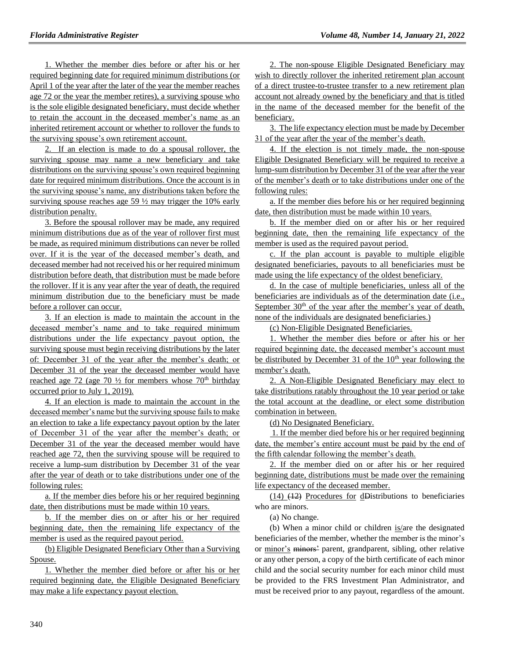1. Whether the member dies before or after his or her required beginning date for required minimum distributions (or April 1 of the year after the later of the year the member reaches age 72 or the year the member retires), a surviving spouse who is the sole eligible designated beneficiary, must decide whether to retain the account in the deceased member's name as an inherited retirement account or whether to rollover the funds to the surviving spouse's own retirement account.

2. If an election is made to do a spousal rollover, the surviving spouse may name a new beneficiary and take distributions on the surviving spouse's own required beginning date for required minimum distributions. Once the account is in the surviving spouse's name, any distributions taken before the surviving spouse reaches age 59 ½ may trigger the 10% early distribution penalty.

3. Before the spousal rollover may be made, any required minimum distributions due as of the year of rollover first must be made, as required minimum distributions can never be rolled over. If it is the year of the deceased member's death, and deceased member had not received his or her required minimum distribution before death, that distribution must be made before the rollover. If it is any year after the year of death, the required minimum distribution due to the beneficiary must be made before a rollover can occur.

3. If an election is made to maintain the account in the deceased member's name and to take required minimum distributions under the life expectancy payout option, the surviving spouse must begin receiving distributions by the later of: December 31 of the year after the member's death; or December 31 of the year the deceased member would have reached age 72 (age 70  $\frac{1}{2}$  for members whose 70<sup>th</sup> birthday occurred prior to July 1, 2019).

4. If an election is made to maintain the account in the deceased member's name but the surviving spouse fails to make an election to take a life expectancy payout option by the later of December 31 of the year after the member's death; or December 31 of the year the deceased member would have reached age 72, then the surviving spouse will be required to receive a lump-sum distribution by December 31 of the year after the year of death or to take distributions under one of the following rules:

a. If the member dies before his or her required beginning date, then distributions must be made within 10 years.

b. If the member dies on or after his or her required beginning date, then the remaining life expectancy of the member is used as the required payout period.

(b) Eligible Designated Beneficiary Other than a Surviving Spouse.

1. Whether the member died before or after his or her required beginning date, the Eligible Designated Beneficiary may make a life expectancy payout election.

2. The non-spouse Eligible Designated Beneficiary may wish to directly rollover the inherited retirement plan account of a direct trustee-to-trustee transfer to a new retirement plan account not already owned by the beneficiary and that is titled in the name of the deceased member for the benefit of the beneficiary.

3. The life expectancy election must be made by December 31 of the year after the year of the member's death.

4. If the election is not timely made, the non-spouse Eligible Designated Beneficiary will be required to receive a lump-sum distribution by December 31 of the year after the year of the member's death or to take distributions under one of the following rules:

a. If the member dies before his or her required beginning date, then distribution must be made within 10 years.

b. If the member died on or after his or her required beginning date, then the remaining life expectancy of the member is used as the required payout period.

c. If the plan account is payable to multiple eligible designated beneficiaries, payouts to all beneficiaries must be made using the life expectancy of the oldest beneficiary.

d. In the case of multiple beneficiaries, unless all of the beneficiaries are individuals as of the determination date (i.e., September 30<sup>th</sup> of the year after the member's year of death, none of the individuals are designated beneficiaries.)

(c) Non-Eligible Designated Beneficiaries.

1. Whether the member dies before or after his or her required beginning date, the deceased member's account must be distributed by December 31 of the  $10<sup>th</sup>$  year following the member's death.

2. A Non-Eligible Designated Beneficiary may elect to take distributions ratably throughout the 10 year period or take the total account at the deadline, or elect some distribution combination in between.

(d) No Designated Beneficiary.

1. If the member died before his or her required beginning date, the member's entire account must be paid by the end of the fifth calendar following the member's death.

2. If the member died on or after his or her required beginning date, distributions must be made over the remaining life expectancy of the deceased member.

(14) (12) Procedures for dDistributions to beneficiaries who are minors.

(a) No change.

(b) When a minor child or children is/are the designated beneficiaries of the member, whether the member is the minor's or minor's minors' parent, grandparent, sibling, other relative or any other person, a copy of the birth certificate of each minor child and the social security number for each minor child must be provided to the FRS Investment Plan Administrator, and must be received prior to any payout, regardless of the amount.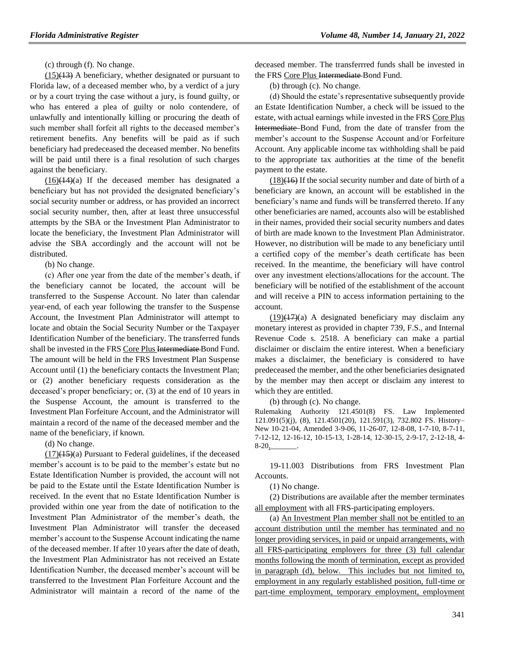(c) through (f). No change.

 $(15)(13)$  A beneficiary, whether designated or pursuant to Florida law, of a deceased member who, by a verdict of a jury or by a court trying the case without a jury, is found guilty, or who has entered a plea of guilty or nolo contendere, of unlawfully and intentionally killing or procuring the death of such member shall forfeit all rights to the deceased member's retirement benefits. Any benefits will be paid as if such beneficiary had predeceased the deceased member. No benefits will be paid until there is a final resolution of such charges against the beneficiary.

 $(16)(14)(a)$  If the deceased member has designated a beneficiary but has not provided the designated beneficiary's social security number or address, or has provided an incorrect social security number, then, after at least three unsuccessful attempts by the SBA or the Investment Plan Administrator to locate the beneficiary, the Investment Plan Administrator will advise the SBA accordingly and the account will not be distributed.

(b) No change.

(c) After one year from the date of the member's death, if the beneficiary cannot be located, the account will be transferred to the Suspense Account. No later than calendar year-end, of each year following the transfer to the Suspense Account, the Investment Plan Administrator will attempt to locate and obtain the Social Security Number or the Taxpayer Identification Number of the beneficiary. The transferred funds shall be invested in the FRS Core Plus Intermediate Bond Fund. The amount will be held in the FRS Investment Plan Suspense Account until (1) the beneficiary contacts the Investment Plan; or (2) another beneficiary requests consideration as the deceased's proper beneficiary; or, (3) at the end of 10 years in the Suspense Account, the amount is transferred to the Investment Plan Forfeiture Account, and the Administrator will maintain a record of the name of the deceased member and the name of the beneficiary, if known.

(d) No change.

 $(17)(15)(a)$  Pursuant to Federal guidelines, if the deceased member's account is to be paid to the member's estate but no Estate Identification Number is provided, the account will not be paid to the Estate until the Estate Identification Number is received. In the event that no Estate Identification Number is provided within one year from the date of notification to the Investment Plan Administrator of the member's death, the Investment Plan Administrator will transfer the deceased member's account to the Suspense Account indicating the name of the deceased member. If after 10 years after the date of death, the Investment Plan Administrator has not received an Estate Identification Number, the deceased member's account will be transferred to the Investment Plan Forfeiture Account and the Administrator will maintain a record of the name of the

deceased member. The transferrred funds shall be invested in the FRS Core Plus Intermediate Bond Fund.

(b) through (c). No change.

(d) Should the estate's representative subsequently provide an Estate Identification Number, a check will be issued to the estate, with actual earnings while invested in the FRS Core Plus Intermediate Bond Fund, from the date of transfer from the member's account to the Suspense Account and/or Forfeiture Account. Any applicable income tax withholding shall be paid to the appropriate tax authorities at the time of the benefit payment to the estate.

 $(18)$ ( $\overline{16}$ ) If the social security number and date of birth of a beneficiary are known, an account will be established in the beneficiary's name and funds will be transferred thereto. If any other beneficiaries are named, accounts also will be established in their names, provided their social security numbers and dates of birth are made known to the Investment Plan Administrator. However, no distribution will be made to any beneficiary until a certified copy of the member's death certificate has been received. In the meantime, the beneficiary will have control over any investment elections/allocations for the account. The beneficiary will be notified of the establishment of the account and will receive a PIN to access information pertaining to the account.

 $(19)(17)(a)$  A designated beneficiary may disclaim any monetary interest as provided in chapter 739, F.S., and Internal Revenue Code s. 2518. A beneficiary can make a partial disclaimer or disclaim the entire interest. When a beneficiary makes a disclaimer, the beneficiary is considered to have predeceased the member, and the other beneficiaries designated by the member may then accept or disclaim any interest to which they are entitled.

(b) through (c). No change.

Rulemaking Authority 121.4501(8) FS. Law Implemented 121.091(5)(j), (8), 121.4501(20), 121.591(3), 732.802 FS. History– New 10-21-04, Amended 3-9-06, 11-26-07, 12-8-08, 1-7-10, 8-7-11, 7-12-12, 12-16-12, 10-15-13, 1-28-14, 12-30-15, 2-9-17, 2-12-18, 4-  $8-20$ ,

19-11.003 Distributions from FRS Investment Plan Accounts.

(1) No change.

(2) Distributions are available after the member terminates all employment with all FRS-participating employers.

(a) An Investment Plan member shall not be entitled to an account distribution until the member has terminated and no longer providing services, in paid or unpaid arrangements, with all FRS-participating employers for three (3) full calendar months following the month of termination, except as provided in paragraph (d), below. This includes but not limited to, employment in any regularly established position, full-time or part-time employment, temporary employment, employment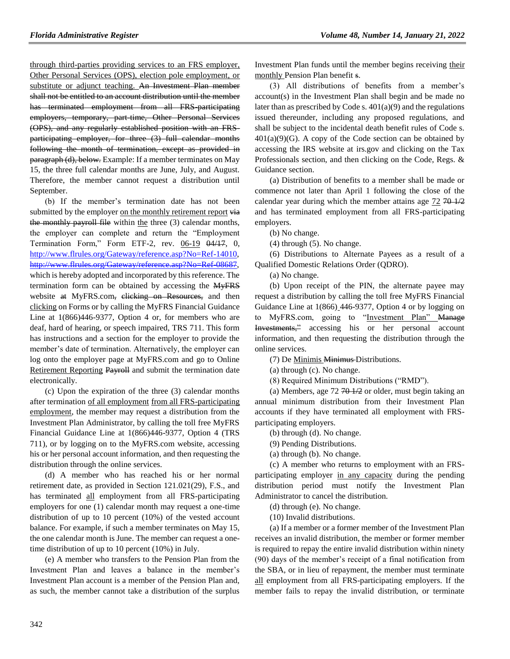through third-parties providing services to an FRS employer, Other Personal Services (OPS), election pole employment, or substitute or adjunct teaching. An Investment Plan member shall not be entitled to an account distribution until the member has terminated employment from all FRS participating employers, temporary, part-time, Other Personal Services (OPS), and any regularly established position with an FRSparticipating employer, for three (3) full calendar months following the month of termination, except as provided in paragraph (d), below. Example: If a member terminates on May 15, the three full calendar months are June, July, and August. Therefore, the member cannot request a distribution until September.

(b) If the member's termination date has not been submitted by the employer on the monthly retirement report via the monthly payroll file within the three (3) calendar months, the employer can complete and return the "Employment Termination Form," Form ETF-2, rev. 06-19 04/17, 0, [http://www.flrules.org/Gateway/reference.asp?No=Ref-14010,](http://www.flrules.org/Gateway/reference.asp?No=Ref-14010) [http://www.flrules.org/Gateway/reference.asp?No=Ref-08687,](http://www.flrules.org/Gateway/reference.asp?No=Ref-08687) which is hereby adopted and incorporated by this reference. The termination form can be obtained by accessing the MyFRS website at MyFRS.com, clicking on Resources, and then clicking on Forms or by calling the MyFRS Financial Guidance Line at  $1(866)446-9377$ , Option 4 or, for members who are deaf, hard of hearing, or speech impaired, TRS 711. This form has instructions and a section for the employer to provide the member's date of termination. Alternatively, the employer can log onto the employer page at MyFRS.com and go to Online Retirement Reporting Payroll and submit the termination date electronically.

(c) Upon the expiration of the three (3) calendar months after termination of all employment from all FRS-participating employment, the member may request a distribution from the Investment Plan Administrator, by calling the toll free MyFRS Financial Guidance Line at 1(866)446-9377, Option 4 (TRS 711), or by logging on to the MyFRS.com website, accessing his or her personal account information, and then requesting the distribution through the online services.

(d) A member who has reached his or her normal retirement date, as provided in Section 121.021(29), F.S., and has terminated all employment from all FRS-participating employers for one (1) calendar month may request a one-time distribution of up to 10 percent (10%) of the vested account balance. For example, if such a member terminates on May 15, the one calendar month is June. The member can request a onetime distribution of up to 10 percent (10%) in July.

(e) A member who transfers to the Pension Plan from the Investment Plan and leaves a balance in the member's Investment Plan account is a member of the Pension Plan and, as such, the member cannot take a distribution of the surplus Investment Plan funds until the member begins receiving their monthly Pension Plan benefit s.

(3) All distributions of benefits from a member's account(s) in the Investment Plan shall begin and be made no later than as prescribed by Code s.  $401(a)(9)$  and the regulations issued thereunder, including any proposed regulations, and shall be subject to the incidental death benefit rules of Code s.  $401(a)(9)(G)$ . A copy of the Code section can be obtained by accessing the IRS website at irs.gov and clicking on the Tax Professionals section, and then clicking on the Code, Regs. & Guidance section.

(a) Distribution of benefits to a member shall be made or commence not later than April 1 following the close of the calendar year during which the member attains age  $72,70,1/2$ and has terminated employment from all FRS-participating employers.

(b) No change.

(4) through (5). No change.

(6) Distributions to Alternate Payees as a result of a Qualified Domestic Relations Order (QDRO).

(a) No change.

(b) Upon receipt of the PIN, the alternate payee may request a distribution by calling the toll free MyFRS Financial Guidance Line at 1(866) 446-9377, Option 4 or by logging on to MyFRS.com, going to "Investment Plan" Manage Investments," accessing his or her personal account information, and then requesting the distribution through the online services.

(7) De Minimis Minimus Distributions.

(a) through (c). No change.

(8) Required Minimum Distributions ("RMD").

(a) Members, age  $72 \frac{404}{2}$  or older, must begin taking an annual minimum distribution from their Investment Plan accounts if they have terminated all employment with FRSparticipating employers.

(b) through (d). No change.

(9) Pending Distributions.

(a) through (b). No change.

(c) A member who returns to employment with an FRSparticipating employer in any capacity during the pending distribution period must notify the Investment Plan Administrator to cancel the distribution.

(d) through (e). No change.

(10) Invalid distributions.

(a) If a member or a former member of the Investment Plan receives an invalid distribution, the member or former member is required to repay the entire invalid distribution within ninety (90) days of the member's receipt of a final notification from the SBA, or in lieu of repayment, the member must terminate all employment from all FRS-participating employers. If the member fails to repay the invalid distribution, or terminate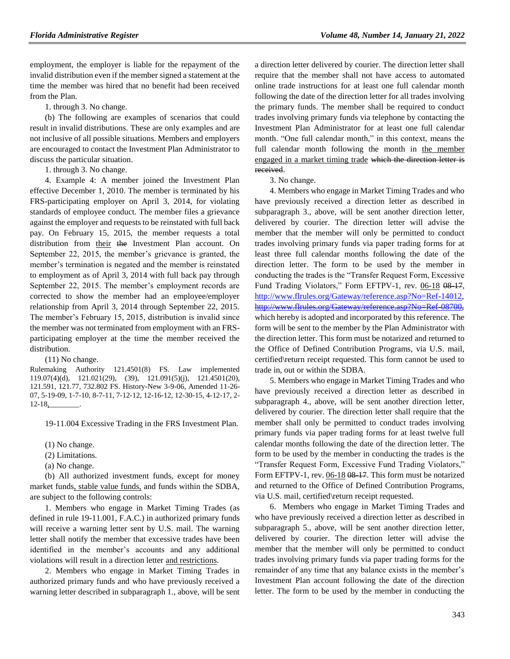employment, the employer is liable for the repayment of the invalid distribution even if the member signed a statement at the time the member was hired that no benefit had been received from the Plan.

1. through 3. No change.

(b) The following are examples of scenarios that could result in invalid distributions. These are only examples and are not inclusive of all possible situations. Members and employers are encouraged to contact the Investment Plan Administrator to discuss the particular situation.

1. through 3. No change.

4. Example 4: A member joined the Investment Plan effective December 1, 2010. The member is terminated by his FRS-participating employer on April 3, 2014, for violating standards of employee conduct. The member files a grievance against the employer and requests to be reinstated with full back pay. On February 15, 2015, the member requests a total distribution from their the Investment Plan account. On September 22, 2015, the member's grievance is granted, the member's termination is negated and the member is reinstated to employment as of April 3, 2014 with full back pay through September 22, 2015. The member's employment records are corrected to show the member had an employee/employer relationship from April 3, 2014 through September 22, 2015. The member's February 15, 2015, distribution is invalid since the member was not terminated from employment with an FRSparticipating employer at the time the member received the distribution.

(11) No change.

Rulemaking Authority 121.4501(8) FS. Law implemented 119.07(4)(d), 121.021(29), (39), 121.091(5)(j), 121.4501(20), 121.591, 121.77, 732.802 FS. History-New 3-9-06, Amended 11-26- 07, 5-19-09, 1-7-10, 8-7-11, 7-12-12, 12-16-12, 12-30-15, 4-12-17, 2- 12-18,\_\_\_\_\_\_\_\_.

19-11.004 Excessive Trading in the FRS Investment Plan.

(1) No change.

- (2) Limitations.
- (a) No change.

(b) All authorized investment funds, except for money market funds, stable value funds, and funds within the SDBA, are subject to the following controls:

1. Members who engage in Market Timing Trades (as defined in rule 19-11.001, F.A.C.) in authorized primary funds will receive a warning letter sent by U.S. mail. The warning letter shall notify the member that excessive trades have been identified in the member's accounts and any additional violations will result in a direction letter and restrictions.

2. Members who engage in Market Timing Trades in authorized primary funds and who have previously received a warning letter described in subparagraph 1., above, will be sent

a direction letter delivered by courier. The direction letter shall require that the member shall not have access to automated online trade instructions for at least one full calendar month following the date of the direction letter for all trades involving the primary funds. The member shall be required to conduct trades involving primary funds via telephone by contacting the Investment Plan Administrator for at least one full calendar month. "One full calendar month," in this context, means the full calendar month following the month in the member engaged in a market timing trade which the direction letter is received.

3. No change.

4. Members who engage in Market Timing Trades and who have previously received a direction letter as described in subparagraph 3., above, will be sent another direction letter, delivered by courier. The direction letter will advise the member that the member will only be permitted to conduct trades involving primary funds via paper trading forms for at least three full calendar months following the date of the direction letter. The form to be used by the member in conducting the trades is the "Transfer Request Form, Excessive Fund Trading Violators," Form EFTPV-1, rev. 06-18 08-17, [http://www.flrules.org/Gateway/reference.asp?No=Ref-14012,](http://www.flrules.org/Gateway/reference.asp?No=Ref-14012) [http://www.flrules.org/Gateway/reference.asp?No=Ref-08700,](http://www.flrules.org/Gateway/reference.asp?No=Ref-08700) which hereby is adopted and incorporated by this reference. The form will be sent to the member by the Plan Administrator with the direction letter. This form must be notarized and returned to the Office of Defined Contribution Programs, via U.S. mail, certified\return receipt requested. This form cannot be used to trade in, out or within the SDBA.

5. Members who engage in Market Timing Trades and who have previously received a direction letter as described in subparagraph 4., above, will be sent another direction letter, delivered by courier. The direction letter shall require that the member shall only be permitted to conduct trades involving primary funds via paper trading forms for at least twelve full calendar months following the date of the direction letter. The form to be used by the member in conducting the trades is the "Transfer Request Form, Excessive Fund Trading Violators," Form EFTPV-1, rev. 06-18 08-17. This form must be notarized and returned to the Office of Defined Contribution Programs, via U.S. mail, certified\return receipt requested.

6. Members who engage in Market Timing Trades and who have previously received a direction letter as described in subparagraph 5., above, will be sent another direction letter, delivered by courier. The direction letter will advise the member that the member will only be permitted to conduct trades involving primary funds via paper trading forms for the remainder of any time that any balance exists in the member's Investment Plan account following the date of the direction letter. The form to be used by the member in conducting the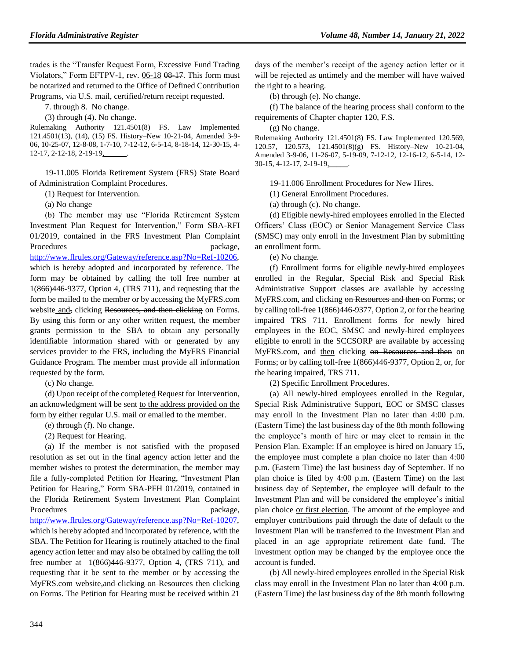trades is the "Transfer Request Form, Excessive Fund Trading Violators," Form EFTPV-1, rev. 06-18 08-17. This form must be notarized and returned to the Office of Defined Contribution Programs, via U.S. mail, certified/return receipt requested.

7. through 8. No change.

(3) through (4). No change.

Rulemaking Authority 121.4501(8) FS. Law Implemented 121.4501(13), (14), (15) FS. History–New 10-21-04, Amended 3-9- 06, 10-25-07, 12-8-08, 1-7-10, 7-12-12, 6-5-14, 8-18-14, 12-30-15, 4- 12-17, 2-12-18, 2-19-19,

19-11.005 Florida Retirement System (FRS) State Board of Administration Complaint Procedures.

(1) Request for Intervention.

(a) No change

(b) The member may use "Florida Retirement System Investment Plan Request for Intervention," Form SBA-RFI 01/2019, contained in the FRS Investment Plan Complaint Procedures package, [http://www.flrules.org/Gateway/reference.asp?No=Ref-10206,](http://www.flrules.org/Gateway/reference.asp?No=Ref-10206) which is hereby adopted and incorporated by reference. The form may be obtained by calling the toll free number at 1(866)446-9377, Option 4, (TRS 711), and requesting that the form be mailed to the member or by accessing the MyFRS.com website and, clicking Resources, and then clicking on Forms. By using this form or any other written request, the member grants permission to the SBA to obtain any personally identifiable information shared with or generated by any services provider to the FRS, including the MyFRS Financial Guidance Program. The member must provide all information

requested by the form.

(c) No change.

(d) Upon receipt of the completed Request for Intervention, an acknowledgment will be sent to the address provided on the form by either regular U.S. mail or emailed to the member.

(e) through (f). No change.

(2) Request for Hearing.

(a) If the member is not satisfied with the proposed resolution as set out in the final agency action letter and the member wishes to protest the determination, the member may file a fully-completed Petition for Hearing, "Investment Plan Petition for Hearing," Form SBA-PFH 01/2019, contained in the Florida Retirement System Investment Plan Complaint Procedures package,

[http://www.flrules.org/Gateway/reference.asp?No=Ref-10207,](http://www.flrules.org/Gateway/reference.asp?No=Ref-10207) which is hereby adopted and incorporated by reference, with the SBA. The Petition for Hearing is routinely attached to the final agency action letter and may also be obtained by calling the toll free number at 1(866)446-9377, Option 4, (TRS 711), and requesting that it be sent to the member or by accessing the MyFRS.com website, and clicking on Resources then clicking on Forms. The Petition for Hearing must be received within 21

days of the member's receipt of the agency action letter or it will be rejected as untimely and the member will have waived the right to a hearing.

(b) through (e). No change.

(f) The balance of the hearing process shall conform to the requirements of Chapter chapter 120, F.S.

(g) No change.

Rulemaking Authority 121.4501(8) FS. Law Implemented 120.569, 120.57, 120.573, 121.4501(8)(g) FS. History–New 10-21-04, Amended 3-9-06, 11-26-07, 5-19-09, 7-12-12, 12-16-12, 6-5-14, 12- 30-15, 4-12-17, 2-19-19,\_\_\_\_\_.

19-11.006 Enrollment Procedures for New Hires.

(1) General Enrollment Procedures.

(a) through (c). No change.

(d) Eligible newly-hired employees enrolled in the Elected Officers' Class (EOC) or Senior Management Service Class (SMSC) may only enroll in the Investment Plan by submitting an enrollment form.

(e) No change.

(f) Enrollment forms for eligible newly-hired employees enrolled in the Regular, Special Risk and Special Risk Administrative Support classes are available by accessing MyFRS.com, and clicking on Resources and then on Forms; or by calling toll-free 1(866)446-9377, Option 2, or for the hearing impaired TRS 711. Enrollment forms for newly hired employees in the EOC, SMSC and newly-hired employees eligible to enroll in the SCCSORP are available by accessing MyFRS.com, and then clicking on Resources and then on Forms; or by calling toll-free 1(866)446-9377, Option 2, or, for the hearing impaired, TRS 711.

(2) Specific Enrollment Procedures.

(a) All newly-hired employees enrolled in the Regular, Special Risk Administrative Support, EOC or SMSC classes may enroll in the Investment Plan no later than 4:00 p.m. (Eastern Time) the last business day of the 8th month following the employee's month of hire or may elect to remain in the Pension Plan. Example: If an employee is hired on January 15, the employee must complete a plan choice no later than 4:00 p.m. (Eastern Time) the last business day of September. If no plan choice is filed by 4:00 p.m. (Eastern Time) on the last business day of September, the employee will default to the Investment Plan and will be considered the employee's initial plan choice or first election. The amount of the employee and employer contributions paid through the date of default to the Investment Plan will be transferred to the Investment Plan and placed in an age appropriate retirement date fund. The investment option may be changed by the employee once the account is funded.

(b) All newly-hired employees enrolled in the Special Risk class may enroll in the Investment Plan no later than 4:00 p.m. (Eastern Time) the last business day of the 8th month following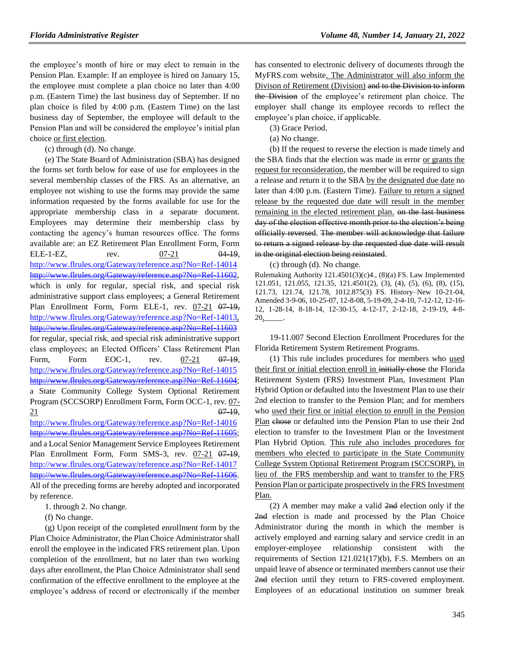the employee's month of hire or may elect to remain in the Pension Plan. Example: If an employee is hired on January 15, the employee must complete a plan choice no later than 4:00 p.m. (Eastern Time) the last business day of September. If no plan choice is filed by 4:00 p.m. (Eastern Time) on the last business day of September, the employee will default to the Pension Plan and will be considered the employee's initial plan choice or first election.

(c) through (d). No change.

(e) The State Board of Administration (SBA) has designed the forms set forth below for ease of use for employees in the several membership classes of the FRS. As an alternative, an employee not wishing to use the forms may provide the same information requested by the forms available for use for the appropriate membership class in a separate document. Employees may determine their membership class by contacting the agency's human resources office. The forms available are: an EZ Retirement Plan Enrollment Form, Form ELE-1-EZ, rev.  $07-21$   $04-19$ , <http://www.flrules.org/Gateway/reference.asp?No=Ref-14014> [http://www.flrules.org/Gateway/reference.asp?No=Ref-11602,](http://www.flrules.org/Gateway/reference.asp?No=Ref-11602) which is only for regular, special risk, and special risk administrative support class employees; a General Retirement Plan Enrollment Form, Form ELE-1, rev. 07-21 07-19, [http://www.flrules.org/Gateway/reference.asp?No=Ref-14013,](http://www.flrules.org/Gateway/reference.asp?No=Ref-14013) <http://www.flrules.org/Gateway/reference.asp?No=Ref-11603> for regular, special risk, and special risk administrative support class employees; an Elected Officers' Class Retirement Plan Form, Form EOC-1, rev. 07-21 07-19, <http://www.flrules.org/Gateway/reference.asp?No=Ref-14015> [http://www.flrules.org/Gateway/reference.asp?No=Ref-11604;](http://www.flrules.org/Gateway/reference.asp?No=Ref-11604) a State Community College System Optional Retirement Program (SCCSORP) Enrollment Form, Form OCC-1, rev. 07-  $\frac{21}{97-19}$ ,

<http://www.flrules.org/Gateway/reference.asp?No=Ref-14016> [http://www.flrules.org/Gateway/reference.asp?No=Ref-11605;](http://www.flrules.org/Gateway/reference.asp?No=Ref-11605) and a Local Senior Management Service Employees Retirement Plan Enrollment Form, Form SMS-3, rev. 07-21 07-19, <http://www.flrules.org/Gateway/reference.asp?No=Ref-14017> [http://www.flrules.org/Gateway/reference.asp?No=Ref-11606.](http://www.flrules.org/Gateway/reference.asp?No=Ref-11606) All of the preceding forms are hereby adopted and incorporated by reference.

1. through 2. No change.

(f) No change.

(g) Upon receipt of the completed enrollment form by the Plan Choice Administrator, the Plan Choice Administrator shall enroll the employee in the indicated FRS retirement plan. Upon completion of the enrollment, but no later than two working days after enrollment, the Plan Choice Administrator shall send confirmation of the effective enrollment to the employee at the employee's address of record or electronically if the member has consented to electronic delivery of documents through the MyFRS.com website. The Administrator will also inform the Divison of Retirement (Division) and to the Division to inform the Division of the employee's retirement plan choice. The employer shall change its employee records to reflect the employee's plan choice, if applicable.

(3) Grace Period.

(a) No change.

(b) If the request to reverse the election is made timely and the SBA finds that the election was made in error or grants the request for reconsideration, the member will be required to sign a release and return it to the SBA by the designated due date no later than 4:00 p.m. (Eastern Time). Failure to return a signed release by the requested due date will result in the member remaining in the elected retirement plan. on the last business day of the election effective month prior to the election's being officially reversed. The member will acknowledge that failure to return a signed release by the requested due date will result in the original election being reinstated.

(c) through (d). No change.

Rulemaking Authority 121.4501(3)(c)4., (8)(a) FS. Law Implemented 121.051, 121.055, 121.35, 121.4501(2), (3), (4), (5), (6), (8), (15), 121.73, 121.74, 121.78, 1012.875(3) FS. History–New 10-21-04, Amended 3-9-06, 10-25-07, 12-8-08, 5-19-09, 2-4-10, 7-12-12, 12-16- 12, 1-28-14, 8-18-14, 12-30-15, 4-12-17, 2-12-18, 2-19-19, 4-8- 20,\_\_\_\_\_.

19-11.007 Second Election Enrollment Procedures for the Florida Retirement System Retirement Programs.

(1) This rule includes procedures for members who used their first or initial election enroll in initially chose the Florida Retirement System (FRS) Investment Plan, Investment Plan Hybrid Option or defaulted into the Investment Plan to use their 2nd election to transfer to the Pension Plan; and for members who used their first or initial election to enroll in the Pension Plan chose or defaulted into the Pension Plan to use their 2nd election to transfer to the Investment Plan or the Investment Plan Hybrid Option. This rule also includes procedures for members who elected to participate in the State Community College System Optional Retirement Program (SCCSORP), in lieu of the FRS membership and want to transfer to the FRS Pension Plan or participate prospectively in the FRS Investment Plan.

(2) A member may make a valid 2nd election only if the 2nd election is made and processed by the Plan Choice Administrator during the month in which the member is actively employed and earning salary and service credit in an employer-employee relationship consistent with the requirements of Section 121.021(17)(b), F.S. Members on an unpaid leave of absence or terminated members cannot use their 2nd election until they return to FRS-covered employment. Employees of an educational institution on summer break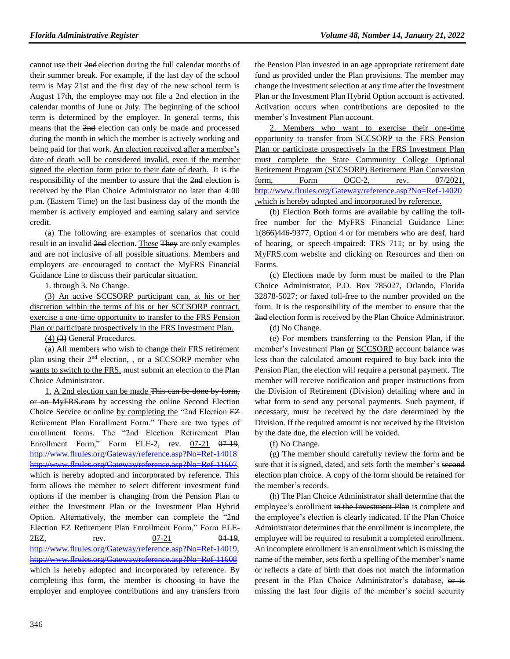cannot use their 2nd election during the full calendar months of their summer break. For example, if the last day of the school term is May 21st and the first day of the new school term is August 17th, the employee may not file a 2nd election in the calendar months of June or July. The beginning of the school term is determined by the employer. In general terms, this means that the 2nd election can only be made and processed during the month in which the member is actively working and being paid for that work. An election received after a member's date of death will be considered invalid, even if the member signed the election form prior to their date of death. It is the responsibility of the member to assure that the 2nd election is received by the Plan Choice Administrator no later than 4:00 p.m. (Eastern Time) on the last business day of the month the member is actively employed and earning salary and service credit.

(a) The following are examples of scenarios that could result in an invalid 2nd election. These They are only examples and are not inclusive of all possible situations. Members and employers are encouraged to contact the MyFRS Financial Guidance Line to discuss their particular situation.

1. through 3. No Change.

(3) An active SCCSORP participant can, at his or her discretion within the terms of his or her SCCSORP contract, exercise a one-time opportunity to transfer to the FRS Pension Plan or participate prospectively in the FRS Investment Plan.

(4) (3) General Procedures.

(a) All members who wish to change their FRS retirement plan using their 2<sup>nd</sup> election, , or a SCCSORP member who wants to switch to the FRS, must submit an election to the Plan Choice Administrator.

1. A 2nd election can be made This can be done by form, or on MyFRS.com by accessing the online Second Election Choice Service or online by completing the "2nd Election EZ Retirement Plan Enrollment Form." There are two types of enrollment forms. The "2nd Election Retirement Plan Enrollment Form," Form ELE-2, rev. 07-21 07-19, <http://www.flrules.org/Gateway/reference.asp?No=Ref-14018> [http://www.flrules.org/Gateway/reference.asp?No=Ref-11607,](http://www.flrules.org/Gateway/reference.asp?No=Ref-11607) which is hereby adopted and incorporated by reference. This form allows the member to select different investment fund options if the member is changing from the Pension Plan to either the Investment Plan or the Investment Plan Hybrid Option. Alternatively, the member can complete the "2nd Election EZ Retirement Plan Enrollment Form," Form ELE-2EZ, rev.  $\frac{07-21}{94-19}$ , [http://www.flrules.org/Gateway/reference.asp?No=Ref-14019,](http://www.flrules.org/Gateway/reference.asp?No=Ref-14019) <http://www.flrules.org/Gateway/reference.asp?No=Ref-11608> which is hereby adopted and incorporated by reference. By completing this form, the member is choosing to have the employer and employee contributions and any transfers from

the Pension Plan invested in an age appropriate retirement date fund as provided under the Plan provisions. The member may change the investment selection at any time after the Investment Plan or the Investment Plan Hybrid Option account is activated. Activation occurs when contributions are deposited to the member's Investment Plan account.

2. Members who want to exercise their one-time opportunity to transfer from SCCSORP to the FRS Pension Plan or participate prospectively in the FRS Investment Plan must complete the State Community College Optional Retirement Program (SCCSORP) Retirement Plan Conversion form, Form OCC-2, rev. 07/2021, <http://www.flrules.org/Gateway/reference.asp?No=Ref-14020> ,which is hereby adopted and incorporated by reference.

(b) Election Both forms are available by calling the tollfree number for the MyFRS Financial Guidance Line: 1(866)446-9377, Option 4 or for members who are deaf, hard of hearing, or speech-impaired: TRS 711; or by using the MyFRS.com website and clicking on Resources and then on Forms.

(c) Elections made by form must be mailed to the Plan Choice Administrator, P.O. Box 785027, Orlando, Florida 32878-5027; or faxed toll-free to the number provided on the form. It is the responsibility of the member to ensure that the 2nd election form is received by the Plan Choice Administrator.

(d) No Change.

(e) For members transferring to the Pension Plan, if the member's Investment Plan or SCCSORP account balance was less than the calculated amount required to buy back into the Pension Plan, the election will require a personal payment. The member will receive notification and proper instructions from the Division of Retirement (Division) detailing where and in what form to send any personal payments. Such payment, if necessary, must be received by the date determined by the Division. If the required amount is not received by the Division by the date due, the election will be voided.

(f) No Change.

(g) The member should carefully review the form and be sure that it is signed, dated, and sets forth the member's second election plan choice. A copy of the form should be retained for the member's records.

(h) The Plan Choice Administrator shall determine that the employee's enrollment in the Investment Plan is complete and the employee's election is clearly indicated. If the Plan Choice Administrator determines that the enrollment is incomplete, the employee will be required to resubmit a completed enrollment. An incomplete enrollment is an enrollment which is missing the name of the member, sets forth a spelling of the member's name or reflects a date of birth that does not match the information present in the Plan Choice Administrator's database, or is missing the last four digits of the member's social security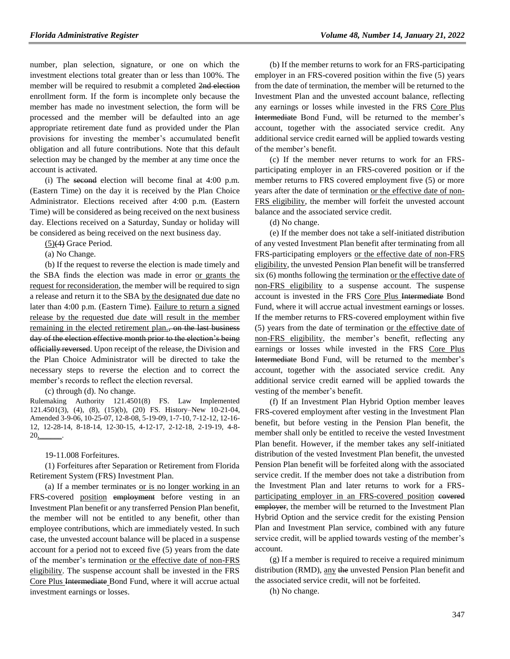number, plan selection, signature, or one on which the investment elections total greater than or less than 100%. The member will be required to resubmit a completed 2nd election enrollment form. If the form is incomplete only because the member has made no investment selection, the form will be processed and the member will be defaulted into an age appropriate retirement date fund as provided under the Plan provisions for investing the member's accumulated benefit obligation and all future contributions. Note that this default selection may be changed by the member at any time once the account is activated.

(i) The second election will become final at 4:00 p.m. (Eastern Time) on the day it is received by the Plan Choice Administrator. Elections received after 4:00 p.m. (Eastern Time) will be considered as being received on the next business day. Elections received on a Saturday, Sunday or holiday will be considered as being received on the next business day.

 $(5)(4)$  Grace Period.

(a) No Change.

(b) If the request to reverse the election is made timely and the SBA finds the election was made in error or grants the request for reconsideration, the member will be required to sign a release and return it to the SBA by the designated due date no later than 4:00 p.m. (Eastern Time). Failure to return a signed release by the requested due date will result in the member remaining in the elected retirement plan., on the last business day of the election effective month prior to the election's being officially reversed. Upon receipt of the release, the Division and the Plan Choice Administrator will be directed to take the necessary steps to reverse the election and to correct the member's records to reflect the election reversal.

(c) through (d). No change.

Rulemaking Authority 121.4501(8) FS. Law Implemented 121.4501(3), (4), (8), (15)(b), (20) FS. History–New 10-21-04, Amended 3-9-06, 10-25-07, 12-8-08, 5-19-09, 1-7-10, 7-12-12, 12-16- 12, 12-28-14, 8-18-14, 12-30-15, 4-12-17, 2-12-18, 2-19-19, 4-8- 20,

19-11.008 Forfeitures.

(1) Forfeitures after Separation or Retirement from Florida Retirement System (FRS) Investment Plan.

(a) If a member terminates or is no longer working in an FRS-covered position employment before vesting in an Investment Plan benefit or any transferred Pension Plan benefit, the member will not be entitled to any benefit, other than employee contributions, which are immediately vested. In such case, the unvested account balance will be placed in a suspense account for a period not to exceed five (5) years from the date of the member's termination or the effective date of non-FRS eligibility. The suspense account shall be invested in the FRS Core Plus Intermediate Bond Fund, where it will accrue actual investment earnings or losses.

(b) If the member returns to work for an FRS-participating employer in an FRS-covered position within the five (5) years from the date of termination, the member will be returned to the Investment Plan and the unvested account balance, reflecting any earnings or losses while invested in the FRS Core Plus Intermediate Bond Fund, will be returned to the member's account, together with the associated service credit. Any additional service credit earned will be applied towards vesting of the member's benefit.

(c) If the member never returns to work for an FRSparticipating employer in an FRS-covered position or if the member returns to FRS covered employment five (5) or more years after the date of termination or the effective date of non-FRS eligibility, the member will forfeit the unvested account balance and the associated service credit.

(d) No change.

(e) If the member does not take a self-initiated distribution of any vested Investment Plan benefit after terminating from all FRS-participating employers or the effective date of non-FRS eligibility, the unvested Pension Plan benefit will be transferred six (6) months following the termination or the effective date of non-FRS eligibility to a suspense account. The suspense account is invested in the FRS Core Plus Intermediate Bond Fund, where it will accrue actual investment earnings or losses. If the member returns to FRS-covered employment within five (5) years from the date of termination or the effective date of non-FRS eligibility, the member's benefit, reflecting any earnings or losses while invested in the FRS Core Plus Intermediate Bond Fund, will be returned to the member's account, together with the associated service credit. Any additional service credit earned will be applied towards the vesting of the member's benefit.

(f) If an Investment Plan Hybrid Option member leaves FRS-covered employment after vesting in the Investment Plan benefit, but before vesting in the Pension Plan benefit, the member shall only be entitled to receive the vested Investment Plan benefit. However, if the member takes any self-initiated distribution of the vested Investment Plan benefit, the unvested Pension Plan benefit will be forfeited along with the associated service credit. If the member does not take a distribution from the Investment Plan and later returns to work for a FRSparticipating employer in an FRS-covered position covered employer, the member will be returned to the Investment Plan Hybrid Option and the service credit for the existing Pension Plan and Investment Plan service, combined with any future service credit, will be applied towards vesting of the member's account.

(g) If a member is required to receive a required minimum distribution (RMD), any the unvested Pension Plan benefit and the associated service credit, will not be forfeited.

(h) No change.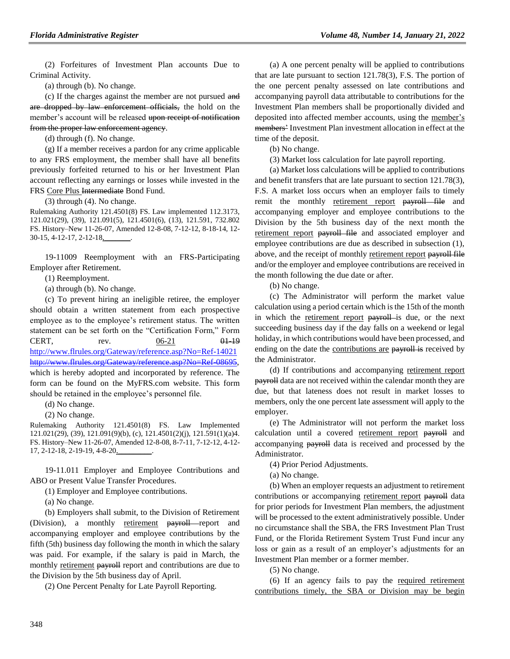(2) Forfeitures of Investment Plan accounts Due to Criminal Activity.

(a) through (b). No change.

(c) If the charges against the member are not pursued and are dropped by law enforcement officials, the hold on the member's account will be released upon receipt of notification from the proper law enforcement agency.

(d) through (f). No change.

(g) If a member receives a pardon for any crime applicable to any FRS employment, the member shall have all benefits previously forfeited returned to his or her Investment Plan account reflecting any earnings or losses while invested in the FRS Core Plus Intermediate Bond Fund.

(3) through (4). No change.

Rulemaking Authority 121.4501(8) FS. Law implemented 112.3173, 121.021(29), (39), 121.091(5), 121.4501(6), (13), 121.591, 732.802 FS. History–New 11-26-07, Amended 12-8-08, 7-12-12, 8-18-14, 12- 30-15, 4-12-17, 2-12-18,\_\_\_\_\_\_\_.

19-11009 Reemployment with an FRS-Participating Employer after Retirement.

(1) Reemployment.

(a) through (b). No change.

(c) To prevent hiring an ineligible retiree, the employer should obtain a written statement from each prospective employee as to the employee's retirement status. The written statement can be set forth on the "Certification Form," Form CERT, rev.  $\frac{06-21}{91-19}$ <http://www.flrules.org/Gateway/reference.asp?No=Ref-14021> [http://www.flrules.org/Gateway/reference.asp?No=Ref-08695,](http://www.flrules.org/Gateway/reference.asp?No=Ref-08695) which is hereby adopted and incorporated by reference. The form can be found on the MyFRS.com website. This form should be retained in the employee's personnel file.

(d) No change.

(2) No change.

Rulemaking Authority 121.4501(8) FS. Law Implemented 121.021(29), (39), 121.091(9)(b), (c), 121.4501(2)(j), 121.591(1)(a)4. FS. History–New 11-26-07, Amended 12-8-08, 8-7-11, 7-12-12, 4-12- 17, 2-12-18, 2-19-19, 4-8-20,\_\_\_\_\_\_\_\_\_.

19-11.011 Employer and Employee Contributions and ABO or Present Value Transfer Procedures.

(1) Employer and Employee contributions.

(a) No change.

(b) Employers shall submit, to the Division of Retirement (Division), a monthly retirement payroll report and accompanying employer and employee contributions by the fifth (5th) business day following the month in which the salary was paid. For example, if the salary is paid in March, the monthly retirement payroll report and contributions are due to the Division by the 5th business day of April.

(2) One Percent Penalty for Late Payroll Reporting.

(a) A one percent penalty will be applied to contributions that are late pursuant to section 121.78(3), F.S. The portion of the one percent penalty assessed on late contributions and accompanying payroll data attributable to contributions for the Investment Plan members shall be proportionally divided and deposited into affected member accounts, using the member's members' Investment Plan investment allocation in effect at the time of the deposit.

(b) No change.

(3) Market loss calculation for late payroll reporting.

(a) Market loss calculations will be applied to contributions and benefit transfers that are late pursuant to section 121.78(3), F.S. A market loss occurs when an employer fails to timely remit the monthly retirement report payroll file and accompanying employer and employee contributions to the Division by the 5th business day of the next month the retirement report payroll file and associated employer and employee contributions are due as described in subsection (1), above, and the receipt of monthly retirement report payroll file and/or the employer and employee contributions are received in the month following the due date or after.

(b) No change.

(c) The Administrator will perform the market value calculation using a period certain which is the 15th of the month in which the retirement report payroll is due, or the next succeeding business day if the day falls on a weekend or legal holiday, in which contributions would have been processed, and ending on the date the contributions are payroll is received by the Administrator.

(d) If contributions and accompanying retirement report payroll data are not received within the calendar month they are due, but that lateness does not result in market losses to members, only the one percent late assessment will apply to the employer.

(e) The Administrator will not perform the market loss calculation until a covered retirement report payroll and accompanying payroll data is received and processed by the Administrator.

(4) Prior Period Adjustments.

(a) No change.

(b) When an employer requests an adjustment to retirement contributions or accompanying retirement report payroll data for prior periods for Investment Plan members, the adjustment will be processed to the extent administratively possible. Under no circumstance shall the SBA, the FRS Investment Plan Trust Fund, or the Florida Retirement System Trust Fund incur any loss or gain as a result of an employer's adjustments for an Investment Plan member or a former member.

(5) No change.

(6) If an agency fails to pay the required retirement contributions timely, the SBA or Division may be begin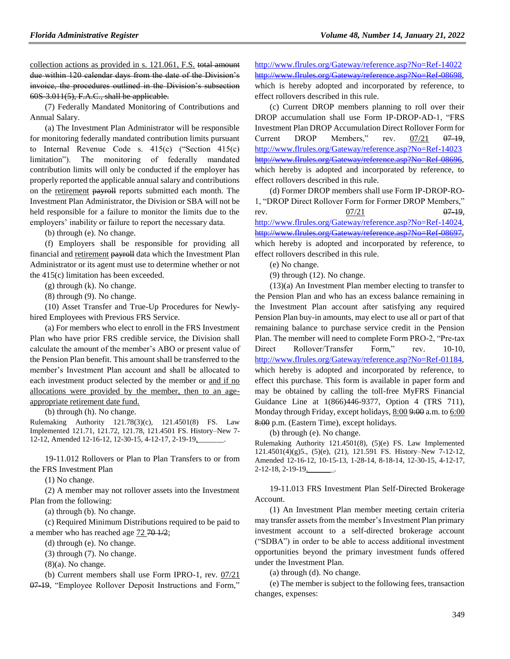collection actions as provided in s. 121.061, F.S. total amount due within 120 calendar days from the date of the Division's invoice, the procedures outlined in the Division's subsection  $60S-3.011(5)$ , F.A.C., shall be applicable.

(7) Federally Mandated Monitoring of Contributions and Annual Salary.

(a) The Investment Plan Administrator will be responsible for monitoring federally mandated contribution limits pursuant to Internal Revenue Code s. 415(c) ("Section 415(c) limitation"). The monitoring of federally mandated contribution limits will only be conducted if the employer has properly reported the applicable annual salary and contributions on the retirement payroll reports submitted each month. The Investment Plan Administrator, the Division or SBA will not be held responsible for a failure to monitor the limits due to the employers' inability or failure to report the necessary data.

(b) through (e). No change.

(f) Employers shall be responsible for providing all financial and retirement payroll data which the Investment Plan Administrator or its agent must use to determine whether or not the 415(c) limitation has been exceeded.

(g) through (k). No change.

(8) through (9). No change.

(10) Asset Transfer and True-Up Procedures for Newlyhired Employees with Previous FRS Service.

(a) For members who elect to enroll in the FRS Investment Plan who have prior FRS credible service, the Division shall calculate the amount of the member's ABO or present value of the Pension Plan benefit. This amount shall be transferred to the member's Investment Plan account and shall be allocated to each investment product selected by the member or and if no allocations were provided by the member, then to an ageappropriate retirement date fund.

(b) through (h). No change.

Rulemaking Authority 121.78(3)(c), 121.4501(8) FS. Law Implemented 121.71, 121.72, 121.78, 121.4501 FS. History–New 7- 12-12, Amended 12-16-12, 12-30-15, 4-12-17, 2-19-19,

19-11.012 Rollovers or Plan to Plan Transfers to or from the FRS Investment Plan

(1) No change.

(2) A member may not rollover assets into the Investment Plan from the following:

(a) through (b). No change.

(c) Required Minimum Distributions required to be paid to a member who has reached age  $72\,70\,1/2$ ;

(d) through (e). No change.

(3) through (7). No change.

 $(8)(a)$ . No change.

(b) Current members shall use Form IPRO-1, rev. 07/21

07-19, "Employee Rollover Deposit Instructions and Form,"

<http://www.flrules.org/Gateway/reference.asp?No=Ref-14022> http://www.flrules.org/Gateway/reference.asp?No which is hereby adopted and incorporated by reference, to effect rollovers described in this rule.

(c) Current DROP members planning to roll over their DROP accumulation shall use Form IP-DROP-AD-1, "FRS Investment Plan DROP Accumulation Direct Rollover Form for Current DROP Members," rev.  $07/21$   $07-19$ , <http://www.flrules.org/Gateway/reference.asp?No=Ref-14023> [http://www.flrules.org/Gateway/reference.asp?No=Ref-08696,](http://www.flrules.org/Gateway/reference.asp?No=Ref-08696) which hereby is adopted and incorporated by reference, to effect rollovers described in this rule.

(d) Former DROP members shall use Form IP-DROP-RO-1, "DROP Direct Rollover Form for Former DROP Members," rev.  $\frac{07/21}{97}$  07.19, [http://www.flrules.org/Gateway/reference.asp?No=Ref-14024,](http://www.flrules.org/Gateway/reference.asp?No=Ref-14024) [http://www.flrules.org/Gateway/reference.asp?No=Ref-08697,](http://www.flrules.org/Gateway/reference.asp?No=Ref-08697) which hereby is adopted and incorporated by reference, to effect rollovers described in this rule.

(e) No change.

(9) through (12). No change.

(13)(a) An Investment Plan member electing to transfer to the Pension Plan and who has an excess balance remaining in the Investment Plan account after satisfying any required Pension Plan buy-in amounts, may elect to use all or part of that remaining balance to purchase service credit in the Pension Plan. The member will need to complete Form PRO-2, "Pre-tax Direct Rollover/Transfer Form," rev. 10-10, [http://www.flrules.org/Gateway/reference.asp?No=Ref-01184,](http://www.flrules.org/Gateway/reference.asp?No=Ref-01184) which hereby is adopted and incorporated by reference, to effect this purchase. This form is available in paper form and may be obtained by calling the toll-free MyFRS Financial Guidance Line at 1(866)446-9377, Option 4 (TRS 711), Monday through Friday, except holidays, 8:00 9:00 a.m. to 6:00 8:00 p.m. (Eastern Time), except holidays.

(b) through (e). No change.

Rulemaking Authority 121.4501(8), (5)(e) FS. Law Implemented 121.4501(4)(g)5., (5)(e), (21), 121.591 FS. History–New 7-12-12, Amended 12-16-12, 10-15-13, 1-28-14, 8-18-14, 12-30-15, 4-12-17, 2-12-18, 2-19-19,

19-11.013 FRS Investment Plan Self-Directed Brokerage Account.

(1) An Investment Plan member meeting certain criteria may transfer assets from the member's Investment Plan primary investment account to a self-directed brokerage account ("SDBA") in order to be able to access additional investment opportunities beyond the primary investment funds offered under the Investment Plan.

(a) through (d). No change.

(e) The member is subject to the following fees, transaction changes, expenses: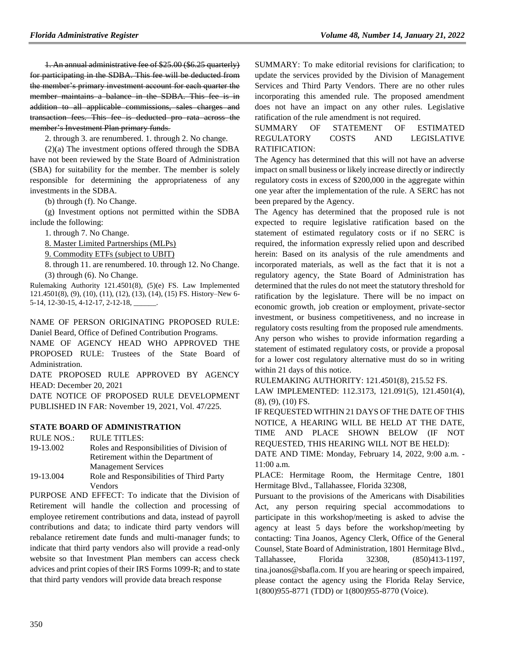1. An annual administrative fee of \$25.00 (\$6.25 quarterly) for participating in the SDBA. This fee will be deducted from the member's primary investment account for each quarter the member maintains a balance in the SDBA. This fee is in addition to all applicable commissions, sales charges and transaction fees. This fee is deducted pro rata across the member's Investment Plan primary funds.

2. through 3. are renumbered. 1. through 2. No change.

(2)(a) The investment options offered through the SDBA have not been reviewed by the State Board of Administration (SBA) for suitability for the member. The member is solely responsible for determining the appropriateness of any investments in the SDBA.

(b) through (f). No Change.

(g) Investment options not permitted within the SDBA include the following:

1. through 7. No Change.

8. Master Limited Partnerships (MLPs)

9. Commodity ETFs (subject to UBIT)

8. through 11. are renumbered. 10. through 12. No Change. (3) through (6). No Change.

Rulemaking Authority 121.4501(8), (5)(e) FS. Law Implemented 121.4501(8), (9), (10), (11), (12), (13), (14), (15) FS. History–New 6- 5-14, 12-30-15, 4-12-17, 2-12-18, \_\_\_\_\_\_.

NAME OF PERSON ORIGINATING PROPOSED RULE: Daniel Beard, Office of Defined Contribution Programs.

NAME OF AGENCY HEAD WHO APPROVED THE PROPOSED RULE: Trustees of the State Board of Administration.

DATE PROPOSED RULE APPROVED BY AGENCY HEAD: December 20, 2021

DATE NOTICE OF PROPOSED RULE DEVELOPMENT PUBLISHED IN FAR: November 19, 2021, Vol. 47/225.

#### **[STATE BOARD OF ADMINISTRATION](https://www.flrules.org/gateway/department.asp?id=19)**

 $RUIENOS$ . RULE TITLES.

| 19-13.002 | Roles and Responsibilities of Division of |  |  |
|-----------|-------------------------------------------|--|--|
|           | Retirement within the Department of       |  |  |
|           | <b>Management Services</b>                |  |  |
| $\cdots$  | .<br>$\sim$ $ \sim$ $\sim$ $-$            |  |  |

[19-13.004](https://www.flrules.org/gateway/ruleNo.asp?id=19-13.004) Role and Responsibilities of Third Party Vendors

PURPOSE AND EFFECT: To indicate that the Division of Retirement will handle the collection and processing of employee retirement contributions and data, instead of payroll contributions and data; to indicate third party vendors will rebalance retirement date funds and multi-manager funds; to indicate that third party vendors also will provide a read-only website so that Investment Plan members can access check advices and print copies of their IRS Forms 1099-R; and to state that third party vendors will provide data breach response

SUMMARY: To make editorial revisions for clarification; to update the services provided by the Division of Management Services and Third Party Vendors. There are no other rules incorporating this amended rule. The proposed amendment does not have an impact on any other rules. Legislative ratification of the rule amendment is not required.

## SUMMARY OF STATEMENT OF ESTIMATED REGULATORY COSTS AND LEGISLATIVE RATIFICATION:

The Agency has determined that this will not have an adverse impact on small business or likely increase directly or indirectly regulatory costs in excess of \$200,000 in the aggregate within one year after the implementation of the rule. A SERC has not been prepared by the Agency.

The Agency has determined that the proposed rule is not expected to require legislative ratification based on the statement of estimated regulatory costs or if no SERC is required, the information expressly relied upon and described herein: Based on its analysis of the rule amendments and incorporated materials, as well as the fact that it is not a regulatory agency, the State Board of Administration has determined that the rules do not meet the statutory threshold for ratification by the legislature. There will be no impact on economic growth, job creation or employment, private-sector investment, or business competitiveness, and no increase in regulatory costs resulting from the proposed rule amendments. Any person who wishes to provide information regarding a statement of estimated regulatory costs, or provide a proposal for a lower cost regulatory alternative must do so in writing within 21 days of this notice.

RULEMAKING AUTHORITY: [121.4501\(8\),](https://www.flrules.org/gateway/statute.asp?id=121.4501(8)) [215.52 FS.](https://www.flrules.org/gateway/statute.asp?id=%20215.52%20FS.)

LAW IMPLEMENTED: [112.3173,](https://www.flrules.org/gateway/statute.asp?id=112.3173) [121.091\(5\),](https://www.flrules.org/gateway/statute.asp?id=%20121.091(5)) [121.4501\(4\),](https://www.flrules.org/gateway/statute.asp?id=%20121.4501(4)) (8), (9), (10) FS.

IF REQUESTED WITHIN 21 DAYS OF THE DATE OF THIS NOTICE, A HEARING WILL BE HELD AT THE DATE, TIME AND PLACE SHOWN BELOW (IF NOT REQUESTED, THIS HEARING WILL NOT BE HELD):

DATE AND TIME: Monday, February 14, 2022, 9:00 a.m. - 11:00 a.m.

PLACE: Hermitage Room, the Hermitage Centre, 1801 Hermitage Blvd., Tallahassee, Florida 32308,

Pursuant to the provisions of the Americans with Disabilities Act, any person requiring special accommodations to participate in this workshop/meeting is asked to advise the agency at least 5 days before the workshop/meeting by contacting: Tina Joanos, Agency Clerk, Office of the General Counsel, State Board of Administration, 1801 Hermitage Blvd., Tallahassee, Florida 32308, (850)413-1197, tina.joanos@sbafla.com. If you are hearing or speech impaired, please contact the agency using the Florida Relay Service, 1(800)955-8771 (TDD) or 1(800)955-8770 (Voice).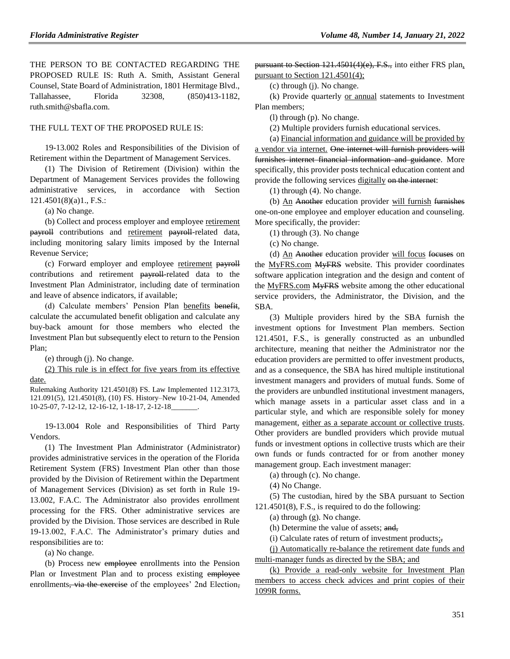THE PERSON TO BE CONTACTED REGARDING THE PROPOSED RULE IS: Ruth A. Smith, Assistant General Counsel, State Board of Administration, 1801 Hermitage Blvd., Tallahassee, Florida 32308, (850)413-1182, ruth.smith@sbafla.com.

#### THE FULL TEXT OF THE PROPOSED RULE IS:

19-13.002 Roles and Responsibilities of the Division of Retirement within the Department of Management Services.

(1) The Division of Retirement (Division) within the Department of Management Services provides the following administrative services, in accordance with Section 121.4501(8)(a)1., F.S.:

(a) No change.

(b) Collect and process employer and employee retirement payroll contributions and retirement payroll-related data, including monitoring salary limits imposed by the Internal Revenue Service;

(c) Forward employer and employee retirement payroll contributions and retirement payroll-related data to the Investment Plan Administrator, including date of termination and leave of absence indicators, if available;

(d) Calculate members' Pension Plan benefits benefit, calculate the accumulated benefit obligation and calculate any buy-back amount for those members who elected the Investment Plan but subsequently elect to return to the Pension Plan;

(e) through (j). No change.

(2) This rule is in effect for five years from its effective date.

Rulemaking Authority 121.4501(8) FS. Law Implemented 112.3173, 121.091(5), 121.4501(8), (10) FS. History–New 10-21-04, Amended 10-25-07, 7-12-12, 12-16-12, 1-18-17, 2-12-18\_\_\_\_\_\_\_.

19-13.004 Role and Responsibilities of Third Party Vendors.

(1) The Investment Plan Administrator (Administrator) provides administrative services in the operation of the Florida Retirement System (FRS) Investment Plan other than those provided by the Division of Retirement within the Department of Management Services (Division) as set forth in Rule 19- 13.002, F.A.C. The Administrator also provides enrollment processing for the FRS. Other administrative services are provided by the Division. Those services are described in Rule 19-13.002, F.A.C. The Administrator's primary duties and responsibilities are to:

(a) No change.

(b) Process new employee enrollments into the Pension Plan or Investment Plan and to process existing employee enrollments, via the exercise of the employees' 2nd Election,

pursuant to Section 121.4501(4)(e), F.S., into either FRS plan, pursuant to Section 121.4501(4);

(c) through (j). No change.

(k) Provide quarterly or annual statements to Investment Plan members;

(l) through (p). No change.

(2) Multiple providers furnish educational services.

(a) Financial information and guidance will be provided by a vendor via internet. One internet will furnish providers will furnishes internet financial information and guidance. More specifically, this provider posts technical education content and provide the following services digitally on the internet:

(1) through (4). No change.

(b) An Another education provider will furnish furnishes one-on-one employee and employer education and counseling. More specifically, the provider:

(1) through (3). No change

(c) No change.

(d) An Another education provider will focus focuses on the MyFRS.com MyFRS website. This provider coordinates software application integration and the design and content of the MyFRS.com MyFRS website among the other educational service providers, the Administrator, the Division, and the SBA.

(3) Multiple providers hired by the SBA furnish the investment options for Investment Plan members. Section 121.4501, F.S., is generally constructed as an unbundled architecture, meaning that neither the Administrator nor the education providers are permitted to offer investment products, and as a consequence, the SBA has hired multiple institutional investment managers and providers of mutual funds. Some of the providers are unbundled institutional investment managers, which manage assets in a particular asset class and in a particular style, and which are responsible solely for money management, either as a separate account or collective trusts. Other providers are bundled providers which provide mutual funds or investment options in collective trusts which are their own funds or funds contracted for or from another money management group. Each investment manager:

(a) through (c). No change.

(4) No Change.

(5) The custodian, hired by the SBA pursuant to Section 121.4501(8), F.S., is required to do the following:

(a) through (g). No change.

(h) Determine the value of assets; and,

(i) Calculate rates of return of investment products;,

(j) Automatically re-balance the retirement date funds and multi-manager funds as directed by the SBA; and

(k) Provide a read-only website for Investment Plan members to access check advices and print copies of their 1099R forms.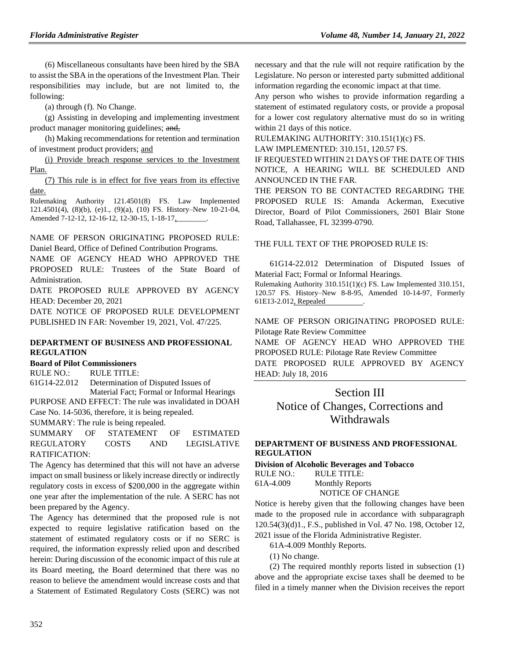(6) Miscellaneous consultants have been hired by the SBA to assist the SBA in the operations of the Investment Plan. Their responsibilities may include, but are not limited to, the following:

(a) through (f). No Change.

(g) Assisting in developing and implementing investment product manager monitoring guidelines; and,

(h) Making recommendations for retention and termination of investment product providers; and

(i) Provide breach response services to the Investment Plan.

(7) This rule is in effect for five years from its effective date.

Rulemaking Authority 121.4501(8) FS. Law Implemented 121.4501(4), (8)(b), (e)1., (9)(a), (10) FS. History–New 10-21-04, Amended 7-12-12, 12-16-12, 12-30-15, 1-18-17,

NAME OF PERSON ORIGINATING PROPOSED RULE: Daniel Beard, Office of Defined Contribution Programs.

NAME OF AGENCY HEAD WHO APPROVED THE PROPOSED RULE: Trustees of the State Board of Administration.

DATE PROPOSED RULE APPROVED BY AGENCY HEAD: December 20, 2021

DATE NOTICE OF PROPOSED RULE DEVELOPMENT PUBLISHED IN FAR: November 19, 2021, Vol. 47/225.

# **[DEPARTMENT OF BUSINESS AND PROFESSIONAL](https://www.flrules.org/gateway/department.asp?id=61)  [REGULATION](https://www.flrules.org/gateway/department.asp?id=61)**

# **[Board of Pilot Commissioners](https://www.flrules.org/gateway/organization.asp?id=266)**

RULE NO.: RULE TITLE: [61G14-22.012](https://www.flrules.org/gateway/ruleNo.asp?id=61G14-22.012) Determination of Disputed Issues of

Material Fact; Formal or Informal Hearings PURPOSE AND EFFECT: The rule was invalidated in DOAH

Case No. 14-5036, therefore, it is being repealed.

SUMMARY: The rule is being repealed.

SUMMARY OF STATEMENT OF ESTIMATED REGULATORY COSTS AND LEGISLATIVE RATIFICATION:

The Agency has determined that this will not have an adverse impact on small business or likely increase directly or indirectly regulatory costs in excess of \$200,000 in the aggregate within one year after the implementation of the rule. A SERC has not been prepared by the Agency.

The Agency has determined that the proposed rule is not expected to require legislative ratification based on the statement of estimated regulatory costs or if no SERC is required, the information expressly relied upon and described herein: During discussion of the economic impact of this rule at its Board meeting, the Board determined that there was no reason to believe the amendment would increase costs and that a Statement of Estimated Regulatory Costs (SERC) was not

necessary and that the rule will not require ratification by the Legislature. No person or interested party submitted additional information regarding the economic impact at that time.

Any person who wishes to provide information regarding a statement of estimated regulatory costs, or provide a proposal for a lower cost regulatory alternative must do so in writing within 21 days of this notice.

RULEMAKING AUTHORITY: [310.151\(1\)\(c\) FS.](https://www.flrules.org/gateway/statute.asp?id=310.151(1)(c)%20FS.)

LAW IMPLEMENTED: [310.151,](https://www.flrules.org/gateway/statute.asp?id=310.151) [120.57 FS.](https://www.flrules.org/gateway/statute.asp?id=%20120.57%20FS.)

IF REQUESTED WITHIN 21 DAYS OF THE DATE OF THIS NOTICE, A HEARING WILL BE SCHEDULED AND ANNOUNCED IN THE FAR.

THE PERSON TO BE CONTACTED REGARDING THE PROPOSED RULE IS: Amanda Ackerman, Executive Director, Board of Pilot Commissioners, 2601 Blair Stone Road, Tallahassee, FL 32399-0790.

THE FULL TEXT OF THE PROPOSED RULE IS:

61G14-22.012 Determination of Disputed Issues of Material Fact; Formal or Informal Hearings.

Rulemaking Authority 310.151(1)(c) FS. Law Implemented 310.151, 120.57 FS. History–New 8-8-95, Amended 10-14-97, Formerly 61E13-2.012, Repealed .

NAME OF PERSON ORIGINATING PROPOSED RULE: Pilotage Rate Review Committee

NAME OF AGENCY HEAD WHO APPROVED THE PROPOSED RULE: Pilotage Rate Review Committee DATE PROPOSED RULE APPROVED BY AGENCY HEAD: July 18, 2016

# Section III

Notice of Changes, Corrections and **Withdrawals** 

### **[DEPARTMENT OF BUSINESS AND PROFESSIONAL](https://www.flrules.org/gateway/department.asp?id=61)  [REGULATION](https://www.flrules.org/gateway/department.asp?id=61)**

**[Division of Alcoholic Beverages and Tobacco](https://www.flrules.org/gateway/organization.asp?id=247)**

| RULE NO.: | RULE TITLE:            |
|-----------|------------------------|
| 61A-4.009 | <b>Monthly Reports</b> |
|           | NOTICE OF CHANGE       |

Notice is hereby given that the following changes have been made to the proposed rule in accordance with subparagraph 120.54(3)(d)1., F.S., published in Vol. 47 No. 198, October 12, 2021 issue of the Florida Administrative Register.

61A-4.009 Monthly Reports.

(1) No change.

(2) The required monthly reports listed in subsection (1) above and the appropriate excise taxes shall be deemed to be filed in a timely manner when the Division receives the report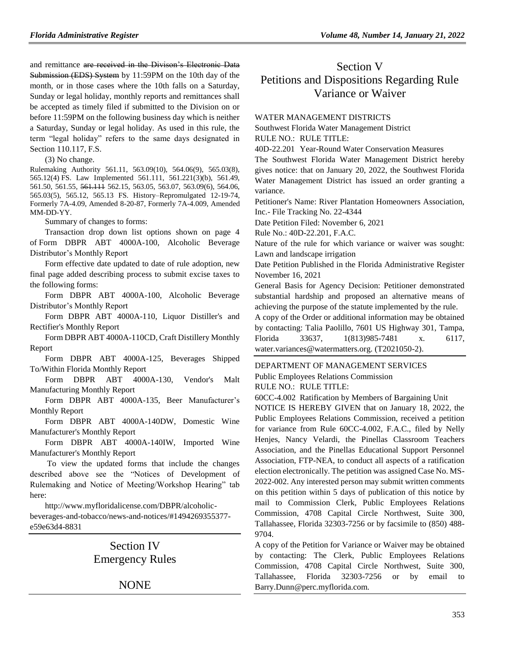and remittance are received in the Divison's Electronic Data Submission (EDS) System by 11:59PM on the 10th day of the month, or in those cases where the 10th falls on a Saturday, Sunday or legal holiday, monthly reports and remittances shall be accepted as timely filed if submitted to the Division on or before 11:59PM on the following business day which is neither a Saturday, Sunday or legal holiday. As used in this rule, the term "legal holiday" refers to the same days designated in Section 110.117, F.S.

(3) No change.

Rulemaking Authority 561.11, 563.09(10), 564.06(9), 565.03(8), 565.12(4) FS. Law Implemented 561.111, 561.221(3)(b), 561.49, 561.50, 561.55, 561.111 562.15, 563.05, 563.07, 563.09(6), 564.06, 565.03(5), 565.12, 565.13 FS. History–Repromulgated 12-19-74, Formerly 7A-4.09, Amended 8-20-87, Formerly 7A-4.009, Amended MM-DD-YY.

Summary of changes to forms:

Transaction drop down list options shown on page 4 of Form DBPR ABT 4000A-100, Alcoholic Beverage Distributor's Monthly Report

Form effective date updated to date of rule adoption, new final page added describing process to submit excise taxes to the following forms:

Form DBPR ABT 4000A-100, Alcoholic Beverage Distributor's Monthly Report

Form DBPR ABT 4000A-110, Liquor Distiller's and Rectifier's Monthly Report

Form DBPR ABT 4000A-110CD, Craft Distillery Monthly Report

Form DBPR ABT 4000A-125, Beverages Shipped To/Within Florida Monthly Report

Form DBPR ABT 4000A-130, Vendor's Malt Manufacturing Monthly Report

Form DBPR ABT 4000A-135, Beer Manufacturer's Monthly Report

Form DBPR ABT 4000A-140DW, Domestic Wine Manufacturer's Monthly Report

Form DBPR ABT 4000A-140IW, Imported Wine Manufacturer's Monthly Report

To view the updated forms that include the changes described above see the "Notices of Development of Rulemaking and Notice of Meeting/Workshop Hearing" tab here:

http://www.myfloridalicense.com/DBPR/alcoholic-

beverages-and-tobacco/news-and-notices/#1494269355377 e59e63d4-8831

> Section IV Emergency Rules

> > NONE

# Section V Petitions and Dispositions Regarding Rule Variance or Waiver

#### [WATER MANAGEMENT DISTRICTS](https://www.flrules.org/gateway/department.asp?id=40)

[Southwest Florida Water Management District](https://www.flrules.org/gateway/organization.asp?id=123)

RULE NO.: RULE TITLE:

[40D-22.201](https://www.flrules.org/gateway/ruleNo.asp?id=40D-22.201) Year-Round Water Conservation Measures

The Southwest Florida Water Management District hereby gives notice: that on January 20, 2022, the Southwest Florida Water Management District has issued an order granting a variance.

Petitioner's Name: River Plantation Homeowners Association, Inc.- File Tracking No. 22-4344

Date Petition Filed: November 6, 2021

Rule No.: 40D-22.201, F.A.C.

Nature of the rule for which variance or waiver was sought: Lawn and landscape irrigation

Date Petition Published in the Florida Administrative Register November 16, 2021

General Basis for Agency Decision: Petitioner demonstrated substantial hardship and proposed an alternative means of achieving the purpose of the statute implemented by the rule.

A copy of the Order or additional information may be obtained by contacting: Talia Paolillo, 7601 US Highway 301, Tampa, Florida 33637, 1(813)985-7481 x. 6117, water.variances@watermatters.org. (T2021050-2).

#### [DEPARTMENT OF MANAGEMENT SERVICES](https://www.flrules.org/gateway/department.asp?id=60)

[Public Employees Relations Commission](https://www.flrules.org/gateway/organization.asp?id=502)

RULE NO.: RULE TITLE:

[60CC-4.002](https://www.flrules.org/gateway/ruleNo.asp?id=60CC-4.002) Ratification by Members of Bargaining Unit

NOTICE IS HEREBY GIVEN that on January 18, 2022, the Public Employees Relations Commission, received a petition for variance from Rule 60CC-4.002, F.A.C., filed by Nelly Henjes, Nancy Velardi, the Pinellas Classroom Teachers Association, and the Pinellas Educational Support Personnel Association, FTP-NEA, to conduct all aspects of a ratification election electronically. The petition was assigned Case No. MS-2022-002. Any interested person may submit written comments on this petition within 5 days of publication of this notice by mail to Commission Clerk, Public Employees Relations Commission, 4708 Capital Circle Northwest, Suite 300, Tallahassee, Florida 32303-7256 or by facsimile to (850) 488- 9704.

A copy of the Petition for Variance or Waiver may be obtained by contacting: The Clerk, Public Employees Relations Commission, 4708 Capital Circle Northwest, Suite 300, Tallahassee, Florida 32303-7256 or by email to Barry.Dunn@perc.myflorida.com.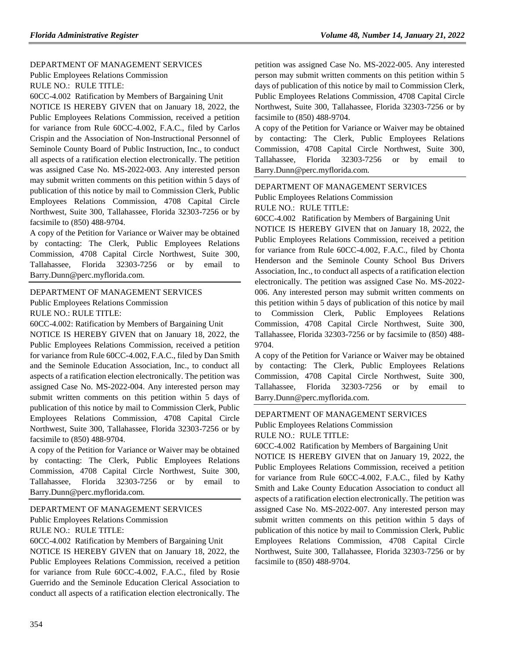### [DEPARTMENT OF MANAGEMENT SERVICES](https://www.flrules.org/gateway/department.asp?id=60)

[Public Employees Relations Commission](https://www.flrules.org/gateway/organization.asp?id=502) RULE NO.: RULE TITLE:

[60CC-4.002](https://www.flrules.org/gateway/ruleNo.asp?id=60CC-4.002) Ratification by Members of Bargaining Unit

NOTICE IS HEREBY GIVEN that on January 18, 2022, the Public Employees Relations Commission, received a petition for variance from Rule 60CC-4.002, F.A.C., filed by Carlos Crispin and the Association of Non-Instructional Personnel of Seminole County Board of Public Instruction, Inc., to conduct all aspects of a ratification election electronically. The petition was assigned Case No. MS-2022-003. Any interested person may submit written comments on this petition within 5 days of publication of this notice by mail to Commission Clerk, Public Employees Relations Commission, 4708 Capital Circle Northwest, Suite 300, Tallahassee, Florida 32303-7256 or by facsimile to (850) 488-9704.

A copy of the Petition for Variance or Waiver may be obtained by contacting: The Clerk, Public Employees Relations Commission, 4708 Capital Circle Northwest, Suite 300, Tallahassee, Florida 32303-7256 or by email to Barry.Dunn@perc.myflorida.com.

#### [DEPARTMENT OF MANAGEMENT SERVICES](https://www.flrules.org/gateway/department.asp?id=60) [Public Employees Relations Commission](https://www.flrules.org/gateway/organization.asp?id=502)

RULE NO.: RULE TITLE:

[60CC-4.002:](https://www.flrules.org/gateway/ruleNo.asp?id=60CC-4.002) Ratification by Members of Bargaining Unit NOTICE IS HEREBY GIVEN that on January 18, 2022, the Public Employees Relations Commission, received a petition for variance from Rule 60CC-4.002, F.A.C., filed by Dan Smith and the Seminole Education Association, Inc., to conduct all aspects of a ratification election electronically. The petition was assigned Case No. MS-2022-004. Any interested person may submit written comments on this petition within 5 days of publication of this notice by mail to Commission Clerk, Public Employees Relations Commission, 4708 Capital Circle Northwest, Suite 300, Tallahassee, Florida 32303-7256 or by facsimile to (850) 488-9704.

A copy of the Petition for Variance or Waiver may be obtained by contacting: The Clerk, Public Employees Relations Commission, 4708 Capital Circle Northwest, Suite 300, Tallahassee, Florida 32303-7256 or by email to Barry.Dunn@perc.myflorida.com.

## [DEPARTMENT OF MANAGEMENT SERVICES](https://www.flrules.org/gateway/department.asp?id=60) [Public Employees Relations Commission](https://www.flrules.org/gateway/organization.asp?id=502) RULE NO.: RULE TITLE:

[60CC-4.002](https://www.flrules.org/gateway/ruleNo.asp?id=60CC-4.002) Ratification by Members of Bargaining Unit

NOTICE IS HEREBY GIVEN that on January 18, 2022, the Public Employees Relations Commission, received a petition for variance from Rule 60CC-4.002, F.A.C., filed by Rosie Guerrido and the Seminole Education Clerical Association to conduct all aspects of a ratification election electronically. The petition was assigned Case No. MS-2022-005. Any interested person may submit written comments on this petition within 5 days of publication of this notice by mail to Commission Clerk, Public Employees Relations Commission, 4708 Capital Circle Northwest, Suite 300, Tallahassee, Florida 32303-7256 or by facsimile to (850) 488-9704.

A copy of the Petition for Variance or Waiver may be obtained by contacting: The Clerk, Public Employees Relations Commission, 4708 Capital Circle Northwest, Suite 300, Tallahassee, Florida 32303-7256 or by email to Barry.Dunn@perc.myflorida.com.

#### [DEPARTMENT OF MANAGEMENT SERVICES](https://www.flrules.org/gateway/department.asp?id=60)

Public Employees [Relations Commission](https://www.flrules.org/gateway/organization.asp?id=502)

RULE NO.: RULE TITLE:

[60CC-4.002](https://www.flrules.org/gateway/ruleNo.asp?id=60CC-4.002) Ratification by Members of Bargaining Unit

NOTICE IS HEREBY GIVEN that on January 18, 2022, the Public Employees Relations Commission, received a petition for variance from Rule 60CC-4.002, F.A.C., filed by Chonta Henderson and the Seminole County School Bus Drivers Association, Inc., to conduct all aspects of a ratification election electronically. The petition was assigned Case No. MS-2022- 006. Any interested person may submit written comments on this petition within 5 days of publication of this notice by mail to Commission Clerk, Public Employees Relations Commission, 4708 Capital Circle Northwest, Suite 300, Tallahassee, Florida 32303-7256 or by facsimile to (850) 488- 9704.

A copy of the Petition for Variance or Waiver may be obtained by contacting: The Clerk, Public Employees Relations Commission, 4708 Capital Circle Northwest, Suite 300, Tallahassee, Florida 32303-7256 or by email to Barry.Dunn@perc.myflorida.com.

## [DEPARTMENT OF MANAGEMENT SERVICES](https://www.flrules.org/gateway/department.asp?id=60) [Public Employees Relations Commission](https://www.flrules.org/gateway/organization.asp?id=502) RULE NO.: RULE TITLE:

[60CC-4.002](https://www.flrules.org/gateway/ruleNo.asp?id=60CC-4.002) Ratification by Members of Bargaining Unit

NOTICE IS HEREBY GIVEN that on January 19, 2022, the Public Employees Relations Commission, received a petition for variance from Rule 60CC-4.002, F.A.C., filed by Kathy Smith and Lake County Education Association to conduct all aspects of a ratification election electronically. The petition was assigned Case No. MS-2022-007. Any interested person may submit written comments on this petition within 5 days of publication of this notice by mail to Commission Clerk, Public Employees Relations Commission, 4708 Capital Circle Northwest, Suite 300, Tallahassee, Florida 32303-7256 or by facsimile to (850) 488-9704.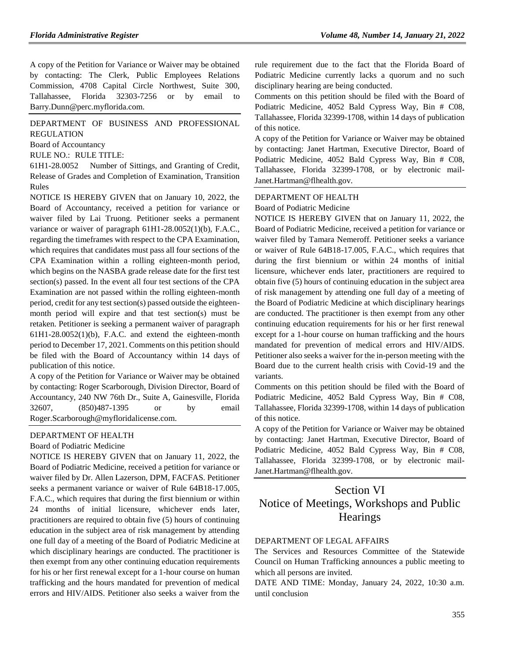A copy of the Petition for Variance or Waiver may be obtained by contacting: The Clerk, Public Employees Relations Commission, 4708 Capital Circle Northwest, Suite 300, Tallahassee, Florida 32303-7256 or by email to Barry.Dunn@perc.myflorida.com.

[DEPARTMENT OF BUSINESS AND PROFESSIONAL](https://www.flrules.org/gateway/department.asp?id=61)  [REGULATION](https://www.flrules.org/gateway/department.asp?id=61)

[Board of Accountancy](https://www.flrules.org/gateway/organization.asp?id=280)

RULE NO.: RULE TITLE:

[61H1-28.0052](https://www.flrules.org/gateway/ruleNo.asp?id=61H1-28.0052) Number of Sittings, and Granting of Credit, Release of Grades and Completion of Examination, Transition Rules

NOTICE IS HEREBY GIVEN that on January 10, 2022, the Board of Accountancy, received a petition for variance or waiver filed by Lai Truong. Petitioner seeks a permanent variance or waiver of paragraph 61H1-28.0052(1)(b), F.A.C., regarding the timeframes with respect to the CPA Examination, which requires that candidates must pass all four sections of the CPA Examination within a rolling eighteen-month period, which begins on the NASBA grade release date for the first test section(s) passed. In the event all four test sections of the CPA Examination are not passed within the rolling eighteen-month period, credit for any test section(s) passed outside the eighteenmonth period will expire and that test section(s) must be retaken. Petitioner is seeking a permanent waiver of paragraph 61H1-28.0052(1)(b), F.A.C. and extend the eighteen-month period to December 17, 2021. Comments on this petition should be filed with the Board of Accountancy within 14 days of publication of this notice.

A copy of the Petition for Variance or Waiver may be obtained by contacting: Roger Scarborough, Division Director, Board of Accountancy, 240 NW 76th Dr., Suite A, Gainesville, Florida 32607, (850)487-1395 or by email Roger.Scarborough@myfloridalicense.com.

### [DEPARTMENT OF HEALTH](https://www.flrules.org/gateway/department.asp?id=64)

[Board of Podiatric Medicine](https://www.flrules.org/gateway/organization.asp?id=309)

NOTICE IS HEREBY GIVEN that on January 11, 2022, the Board of Podiatric Medicine, received a petition for variance or waiver filed by Dr. Allen Lazerson, DPM, FACFAS. Petitioner seeks a permanent variance or waiver of Rule 64B18-17.005, F.A.C., which requires that during the first biennium or within 24 months of initial licensure, whichever ends later, practitioners are required to obtain five (5) hours of continuing education in the subject area of risk management by attending one full day of a meeting of the Board of Podiatric Medicine at which disciplinary hearings are conducted. The practitioner is then exempt from any other continuing education requirements for his or her first renewal except for a 1-hour course on human trafficking and the hours mandated for prevention of medical errors and HIV/AIDS. Petitioner also seeks a waiver from the

rule requirement due to the fact that the Florida Board of Podiatric Medicine currently lacks a quorum and no such disciplinary hearing are being conducted.

Comments on this petition should be filed with the Board of Podiatric Medicine, 4052 Bald Cypress Way, Bin # C08, Tallahassee, Florida 32399-1708, within 14 days of publication of this notice.

A copy of the Petition for Variance or Waiver may be obtained by contacting: Janet Hartman, Executive Director, Board of Podiatric Medicine, 4052 Bald Cypress Way, Bin # C08, Tallahassee, Florida 32399-1708, or by electronic mail-Janet.Hartman@flhealth.gov.

#### [DEPARTMENT OF HEALTH](https://www.flrules.org/gateway/department.asp?id=64)

[Board of Podiatric Medicine](https://www.flrules.org/gateway/organization.asp?id=309)

NOTICE IS HEREBY GIVEN that on January 11, 2022, the Board of Podiatric Medicine, received a petition for variance or waiver filed by Tamara Nemeroff. Petitioner seeks a variance or waiver of Rule 64B18-17.005, F.A.C., which requires that during the first biennium or within 24 months of initial licensure, whichever ends later, practitioners are required to obtain five (5) hours of continuing education in the subject area of risk management by attending one full day of a meeting of the Board of Podiatric Medicine at which disciplinary hearings are conducted. The practitioner is then exempt from any other continuing education requirements for his or her first renewal except for a 1-hour course on human trafficking and the hours mandated for prevention of medical errors and HIV/AIDS. Petitioner also seeks a waiver for the in-person meeting with the Board due to the current health crisis with Covid-19 and the variants.

Comments on this petition should be filed with the Board of Podiatric Medicine, 4052 Bald Cypress Way, Bin # C08, Tallahassee, Florida 32399-1708, within 14 days of publication of this notice.

A copy of the Petition for Variance or Waiver may be obtained by contacting: Janet Hartman, Executive Director, Board of Podiatric Medicine, 4052 Bald Cypress Way, Bin # C08, Tallahassee, Florida 32399-1708, or by electronic mail-Janet.Hartman@flhealth.gov.

# Section VI Notice of Meetings, Workshops and Public **Hearings**

### [DEPARTMENT OF LEGAL AFFAIRS](https://www.flrules.org/gateway/department.asp?id=2)

The Services and Resources Committee of the Statewide Council on Human Trafficking announces a public meeting to which all persons are invited.

DATE AND TIME: Monday, January 24, 2022, 10:30 a.m. until conclusion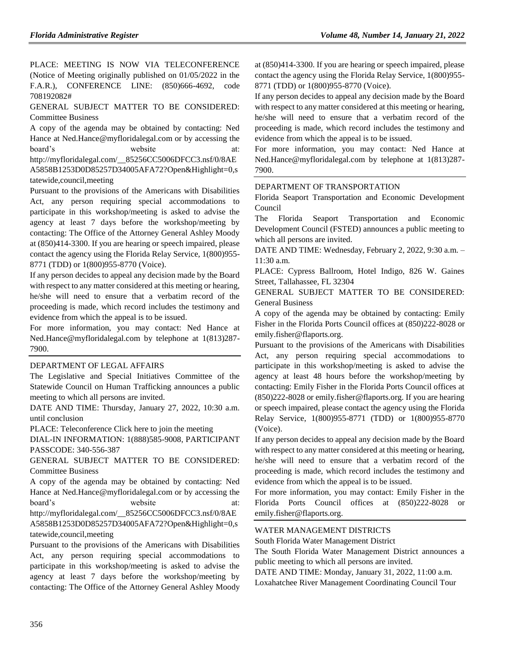PLACE: MEETING IS NOW VIA TELECONFERENCE (Notice of Meeting originally published on 01/05/2022 in the F.A.R.), CONFERENCE LINE: (850)666-4692, code 708192082#

GENERAL SUBJECT MATTER TO BE CONSIDERED: Committee Business

A copy of the agenda may be obtained by contacting: Ned Hance at Ned.Hance@myfloridalegal.com or by accessing the board's website at: http://myfloridalegal.com/\_\_85256CC5006DFCC3.nsf/0/8AE A5858B1253D0D85257D34005AFA72?Open&Highlight=0,s

tatewide,council,meeting

Pursuant to the provisions of the Americans with Disabilities Act, any person requiring special accommodations to participate in this workshop/meeting is asked to advise the agency at least 7 days before the workshop/meeting by contacting: The Office of the Attorney General Ashley Moody at (850)414-3300. If you are hearing or speech impaired, please contact the agency using the Florida Relay Service, 1(800)955- 8771 (TDD) or 1(800)955-8770 (Voice).

If any person decides to appeal any decision made by the Board with respect to any matter considered at this meeting or hearing, he/she will need to ensure that a verbatim record of the proceeding is made, which record includes the testimony and evidence from which the appeal is to be issued.

For more information, you may contact: Ned Hance at Ned.Hance@myfloridalegal.com by telephone at 1(813)287- 7900.

#### [DEPARTMENT OF LEGAL AFFAIRS](https://www.flrules.org/gateway/department.asp?id=2)

The Legislative and Special Initiatives Committee of the Statewide Council on Human Trafficking announces a public meeting to which all persons are invited.

DATE AND TIME: Thursday, January 27, 2022, 10:30 a.m. until conclusion

PLACE: Teleconference Click here to join the meeting

DIAL-IN INFORMATION: 1(888)585-9008, PARTICIPANT PASSCODE: 340-556-387

GENERAL SUBJECT MATTER TO BE CONSIDERED: Committee Business

A copy of the agenda may be obtained by contacting: Ned Hance at Ned.Hance@myfloridalegal.com or by accessing the board's website http://myfloridalegal.com/\_\_85256CC5006DFCC3.nsf/0/8AE

A5858B1253D0D85257D34005AFA72?Open&Highlight=0,s tatewide,council,meeting

Pursuant to the provisions of the Americans with Disabilities Act, any person requiring special accommodations to participate in this workshop/meeting is asked to advise the agency at least 7 days before the workshop/meeting by contacting: The Office of the Attorney General Ashley Moody at (850)414-3300. If you are hearing or speech impaired, please contact the agency using the Florida Relay Service, 1(800)955- 8771 (TDD) or 1(800)955-8770 (Voice).

If any person decides to appeal any decision made by the Board with respect to any matter considered at this meeting or hearing, he/she will need to ensure that a verbatim record of the proceeding is made, which record includes the testimony and evidence from which the appeal is to be issued.

For more information, you may contact: Ned Hance at Ned.Hance@myfloridalegal.com by telephone at 1(813)287- 7900.

#### [DEPARTMENT OF TRANSPORTATION](https://www.flrules.org/gateway/department.asp?id=14)

[Florida Seaport Transportation and Economic Development](https://www.flrules.org/gateway/organization.asp?id=39)  [Council](https://www.flrules.org/gateway/organization.asp?id=39)

The Florida Seaport Transportation and Economic Development Council (FSTED) announces a public meeting to which all persons are invited.

DATE AND TIME: Wednesday, February 2, 2022, 9:30 a.m. – 11:30 a.m.

PLACE: Cypress Ballroom, Hotel Indigo, 826 W. Gaines Street, Tallahassee, FL 32304

GENERAL SUBJECT MATTER TO BE CONSIDERED: General Business

A copy of the agenda may be obtained by contacting: Emily Fisher in the Florida Ports Council offices at (850)222-8028 or emily.fisher@flaports.org.

Pursuant to the provisions of the Americans with Disabilities Act, any person requiring special accommodations to participate in this workshop/meeting is asked to advise the agency at least 48 hours before the workshop/meeting by contacting: Emily Fisher in the Florida Ports Council offices at (850)222-8028 or emily.fisher@flaports.org. If you are hearing or speech impaired, please contact the agency using the Florida Relay Service, 1(800)955-8771 (TDD) or 1(800)955-8770 (Voice).

If any person decides to appeal any decision made by the Board with respect to any matter considered at this meeting or hearing, he/she will need to ensure that a verbatim record of the proceeding is made, which record includes the testimony and evidence from which the appeal is to be issued.

For more information, you may contact: Emily Fisher in the Florida Ports Council offices at (850)222-8028 emily.fisher@flaports.org.

#### [WATER MANAGEMENT DISTRICTS](https://www.flrules.org/gateway/department.asp?id=40)

[South Florida Water Management](https://www.flrules.org/gateway/organization.asp?id=124) District

The South Florida Water Management District announces a public meeting to which all persons are invited.

DATE AND TIME: Monday, January 31, 2022, 11:00 a.m.

Loxahatchee River Management Coordinating Council Tour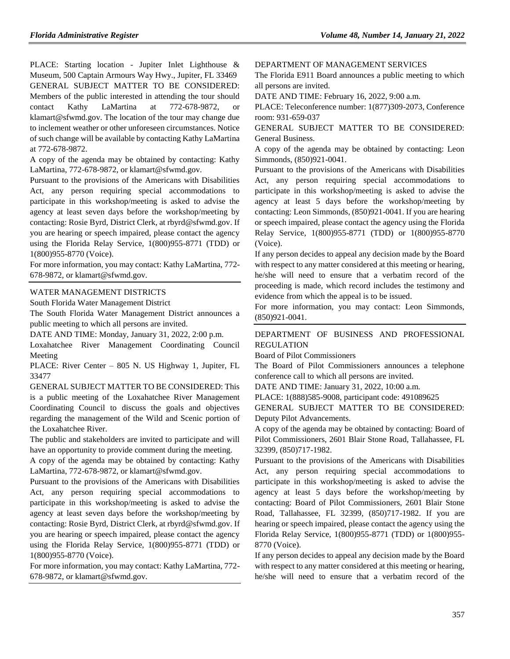PLACE: Starting location - Jupiter Inlet Lighthouse & Museum, 500 Captain Armours Way Hwy., Jupiter, FL 33469 GENERAL SUBJECT MATTER TO BE CONSIDERED: Members of the public interested in attending the tour should contact Kathy LaMartina at 772-678-9872, or klamart@sfwmd.gov. The location of the tour may change due to inclement weather or other unforeseen circumstances. Notice of such change will be available by contacting Kathy LaMartina at 772-678-9872.

A copy of the agenda may be obtained by contacting: Kathy LaMartina, 772-678-9872, or klamart@sfwmd.gov.

Pursuant to the provisions of the Americans with Disabilities Act, any person requiring special accommodations to participate in this workshop/meeting is asked to advise the agency at least seven days before the workshop/meeting by contacting: Rosie Byrd, District Clerk, at rbyrd@sfwmd.gov. If you are hearing or speech impaired, please contact the agency using the Florida Relay Service, 1(800)955-8771 (TDD) or 1(800)955-8770 (Voice).

For more information, you may contact: Kathy LaMartina, 772- 678-9872, or klamart@sfwmd.gov.

#### [WATER MANAGEMENT DISTRICTS](https://www.flrules.org/gateway/department.asp?id=40)

[South Florida Water Management District](https://www.flrules.org/gateway/organization.asp?id=124)

The South Florida Water Management District announces a public meeting to which all persons are invited.

DATE AND TIME: Monday, January 31, 2022, 2:00 p.m.

Loxahatchee River Management Coordinating Council Meeting

PLACE: River Center – 805 N. US Highway 1, Jupiter, FL 33477

GENERAL SUBJECT MATTER TO BE CONSIDERED: This is a public meeting of the Loxahatchee River Management Coordinating Council to discuss the goals and objectives regarding the management of the Wild and Scenic portion of the Loxahatchee River.

The public and stakeholders are invited to participate and will have an opportunity to provide comment during the meeting.

A copy of the agenda may be obtained by contacting: Kathy LaMartina, 772-678-9872, or klamart@sfwmd.gov.

Pursuant to the provisions of the Americans with Disabilities Act, any person requiring special accommodations to participate in this workshop/meeting is asked to advise the agency at least seven days before the workshop/meeting by contacting: Rosie Byrd, District Clerk, at rbyrd@sfwmd.gov. If you are hearing or speech impaired, please contact the agency using the Florida Relay Service, 1(800)955-8771 (TDD) or 1(800)955-8770 (Voice).

For more information, you may contact: Kathy LaMartina, 772- 678-9872, or klamart@sfwmd.gov.

[DEPARTMENT OF MANAGEMENT SERVICES](https://www.flrules.org/gateway/department.asp?id=60)

The Florida E911 Board announces a public meeting to which all persons are invited.

DATE AND TIME: February 16, 2022, 9:00 a.m.

PLACE: Teleconference number: 1(877)309-2073, Conference room: 931-659-037

GENERAL SUBJECT MATTER TO BE CONSIDERED: General Business.

A copy of the agenda may be obtained by contacting: Leon Simmonds, (850)921-0041.

Pursuant to the provisions of the Americans with Disabilities Act, any person requiring special accommodations to participate in this workshop/meeting is asked to advise the agency at least 5 days before the workshop/meeting by contacting: Leon Simmonds, (850)921-0041. If you are hearing or speech impaired, please contact the agency using the Florida Relay Service, 1(800)955-8771 (TDD) or 1(800)955-8770 (Voice).

If any person decides to appeal any decision made by the Board with respect to any matter considered at this meeting or hearing, he/she will need to ensure that a verbatim record of the proceeding is made, which record includes the testimony and evidence from which the appeal is to be issued.

For more information, you may contact: Leon Simmonds, (850)921-0041.

# [DEPARTMENT OF BUSINESS AND PROFESSIONAL](https://www.flrules.org/gateway/department.asp?id=61)  [REGULATION](https://www.flrules.org/gateway/department.asp?id=61)

[Board of Pilot Commissioners](https://www.flrules.org/gateway/organization.asp?id=266)

The Board of Pilot Commissioners announces a telephone conference call to which all persons are invited.

DATE AND TIME: January 31, 2022, 10:00 a.m.

PLACE: 1(888)585-9008, participant code: 491089625

GENERAL SUBJECT MATTER TO BE CONSIDERED: Deputy Pilot Advancements.

A copy of the agenda may be obtained by contacting: Board of Pilot Commissioners, 2601 Blair Stone Road, Tallahassee, FL 32399, (850)717-1982.

Pursuant to the provisions of the Americans with Disabilities Act, any person requiring special accommodations to participate in this workshop/meeting is asked to advise the agency at least 5 days before the workshop/meeting by contacting: Board of Pilot Commissioners, 2601 Blair Stone Road, Tallahassee, FL 32399, (850)717-1982. If you are hearing or speech impaired, please contact the agency using the Florida Relay Service, 1(800)955-8771 (TDD) or 1(800)955- 8770 (Voice).

If any person decides to appeal any decision made by the Board with respect to any matter considered at this meeting or hearing, he/she will need to ensure that a verbatim record of the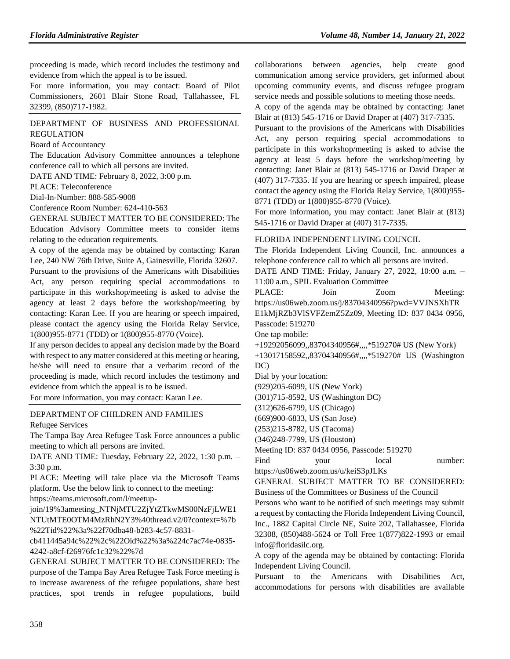proceeding is made, which record includes the testimony and evidence from which the appeal is to be issued.

For more information, you may contact: Board of Pilot Commissioners, 2601 Blair Stone Road, Tallahassee, FL 32399, (850)717-1982.

## [DEPARTMENT OF BUSINESS AND PROFESSIONAL](https://www.flrules.org/gateway/department.asp?id=61)  [REGULATION](https://www.flrules.org/gateway/department.asp?id=61)

[Board of Accountancy](https://www.flrules.org/gateway/organization.asp?id=280)

The Education Advisory Committee announces a telephone conference call to which all persons are invited.

DATE AND TIME: February 8, 2022, 3:00 p.m.

PLACE: Teleconference

Dial-In-Number: 888-585-9008

Conference Room Number: 624-410-563

GENERAL SUBJECT MATTER TO BE CONSIDERED: The Education Advisory Committee meets to consider items relating to the education requirements.

A copy of the agenda may be obtained by contacting: Karan Lee, 240 NW 76th Drive, Suite A, Gainesville, Florida 32607.

Pursuant to the provisions of the Americans with Disabilities Act, any person requiring special accommodations to participate in this workshop/meeting is asked to advise the agency at least 2 days before the workshop/meeting by contacting: Karan Lee. If you are hearing or speech impaired, please contact the agency using the Florida Relay Service, 1(800)955-8771 (TDD) or 1(800)955-8770 (Voice).

If any person decides to appeal any decision made by the Board with respect to any matter considered at this meeting or hearing, he/she will need to ensure that a verbatim record of the proceeding is made, which record includes the testimony and evidence from which the appeal is to be issued.

For more information, you may contact: Karan Lee.

#### [DEPARTMENT OF CHILDREN AND FAMILIES](https://www.flrules.org/gateway/department.asp?id=65)

[Refugee Services](https://www.flrules.org/gateway/organization.asp?id=528)

The Tampa Bay Area Refugee Task Force announces a public meeting to which all persons are invited.

DATE AND TIME: Tuesday, February 22, 2022, 1:30 p.m. – 3:30 p.m.

PLACE: Meeting will take place via the Microsoft Teams platform. Use the below link to connect to the meeting: https://teams.microsoft.com/l/meetup-

join/19%3ameeting\_NTNjMTU2ZjYtZTkwMS00NzFjLWE1 NTUtMTE0OTM4MzRhN2Y3%40thread.v2/0?context=%7b %22Tid%22%3a%22f70dba48-b283-4c57-8831-

cb411445a94c%22%2c%22Oid%22%3a%224c7ac74e-0835- 4242-a8cf-f26976fc1c32%22%7d

GENERAL SUBJECT MATTER TO BE CONSIDERED: The purpose of the Tampa Bay Area Refugee Task Force meeting is to increase awareness of the refugee populations, share best practices, spot trends in refugee populations, build collaborations between agencies, help create good communication among service providers, get informed about upcoming community events, and discuss refugee program service needs and possible solutions to meeting those needs.

A copy of the agenda may be obtained by contacting: Janet Blair at (813) 545-1716 or David Draper at (407) 317-7335.

Pursuant to the provisions of the Americans with Disabilities Act, any person requiring special accommodations to participate in this workshop/meeting is asked to advise the agency at least 5 days before the workshop/meeting by contacting: Janet Blair at (813) 545-1716 or David Draper at (407) 317-7335. If you are hearing or speech impaired, please contact the agency using the Florida Relay Service, 1(800)955- 8771 (TDD) or 1(800)955-8770 (Voice).

For more information, you may contact: Janet Blair at (813) 545-1716 or David Draper at (407) 317-7335.

#### [FLORIDA INDEPENDENT LIVING COUNCIL](https://www.flrules.org/gateway/organization.asp?id=616)

The Florida Independent Living Council, Inc. announces a telephone conference call to which all persons are invited. DATE AND TIME: Friday, January 27, 2022, 10:00 a.m. – 11:00 a.m., SPIL Evaluation Committee PLACE: Join Zoom Meeting: https://us06web.zoom.us/j/83704340956?pwd=VVJNSXhTR E1kMjRZb3VlSVFZemZ5Zz09, Meeting ID: 837 0434 0956, Passcode: 519270 One tap mobile: +19292056099,,83704340956#,,,,\*519270# US (New York) +13017158592,,83704340956#,,,,\*519270# US (Washington DC) Dial by your location: (929)205-6099, US (New York) (301)715-8592, US (Washington DC) (312)626-6799, US (Chicago) (669)900-6833, US (San Jose) (253)215-8782, US (Tacoma) (346)248-7799, US (Houston) Meeting ID: 837 0434 0956, Passcode: 519270 Find your local number: https://us06web.zoom.us/u/keiS3pJLKs GENERAL SUBJECT MATTER TO BE CONSIDERED:

Business of the Committees or Business of the Council

Persons who want to be notified of such meetings may submit a request by contacting the Florida Independent Living Council, Inc., 1882 Capital Circle NE, Suite 202, Tallahassee, Florida 32308, (850)488-5624 or Toll Free 1(877)822-1993 or email info@floridasilc.org.

A copy of the agenda may be obtained by contacting: Florida Independent Living Council.

Pursuant to the Americans with Disabilities Act, accommodations for persons with disabilities are available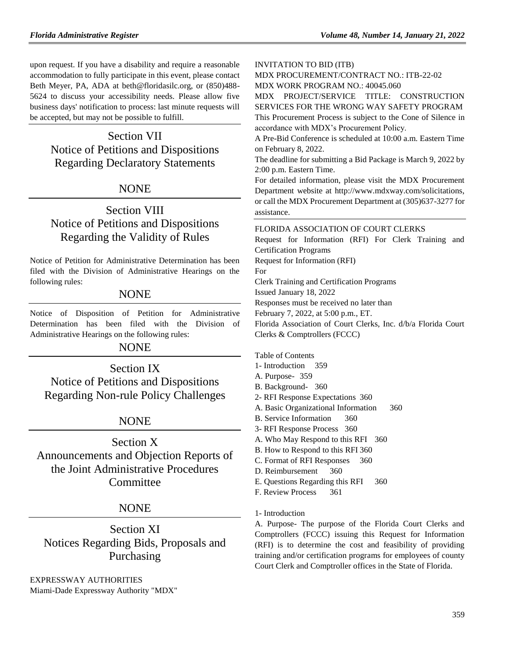upon request. If you have a disability and require a reasonable accommodation to fully participate in this event, please contact Beth Meyer, PA, ADA at beth@floridasilc.org, or (850)488- 5624 to discuss your accessibility needs. Please allow five business days' notification to process: last minute requests will be accepted, but may not be possible to fulfill.

# Section VII Notice of Petitions and Dispositions Regarding Declaratory Statements

# NONE

# Section VIII Notice of Petitions and Dispositions Regarding the Validity of Rules

Notice of Petition for Administrative Determination has been filed with the Division of Administrative Hearings on the following rules:

# **NONE**

Notice of Disposition of Petition for Administrative Determination has been filed with the Division of Administrative Hearings on the following rules:

# NONE

Section IX

Notice of Petitions and Dispositions Regarding Non-rule Policy Challenges

# NONE

Section X Announcements and Objection Reports of the Joint Administrative Procedures **Committee** 

# NONE

Section XI Notices Regarding Bids, Proposals and Purchasing

[EXPRESSWAY AUTHORITIES](https://www.flrules.org/gateway/department.asp?id=45) [Miami-Dade Expressway Authority "MDX"](https://www.flrules.org/gateway/organization.asp?id=720)

#### INVITATION TO BID (ITB)

MDX PROCUREMENT/CONTRACT NO.: ITB-22-02 MDX WORK PROGRAM NO.: 40045.060

MDX PROJECT/SERVICE TITLE: CONSTRUCTION SERVICES FOR THE WRONG WAY SAFETY PROGRAM This Procurement Process is subject to the Cone of Silence in accordance with MDX's Procurement Policy.

A Pre-Bid Conference is scheduled at 10:00 a.m. Eastern Time on February 8, 2022.

The deadline for submitting a Bid Package is March 9, 2022 by 2:00 p.m. Eastern Time.

For detailed information, please visit the MDX Procurement Department website at http://www.mdxway.com/solicitations, or call the MDX Procurement Department at (305)637-3277 for assistance.

### [FLORIDA ASSOCIATION OF COURT CLERKS](https://www.flrules.org/gateway/organization.asp?id=713)

Request for Information (RFI) For Clerk Training and Certification Programs Request for Information (RFI) For Clerk Training and Certification Programs Issued January 18, 2022 Responses must be received no later than February 7, 2022, at 5:00 p.m., ET. Florida Association of Court Clerks, Inc. d/b/a Florida Court Clerks & Comptrollers (FCCC)

Table of Contents

- 1- [Introduction](file:///C:/Users/Bgries/AppData/Local/Microsoft/Windows/INetCache/Content.Outlook/5577VRQ9/FCCC%20RFI%20Clerk%20Training%20and%20Certification.docx) 359
- [A. Purpose-](file:///C:/Users/Bgries/AppData/Local/Microsoft/Windows/INetCache/Content.Outlook/5577VRQ9/FCCC%20RFI%20Clerk%20Training%20and%20Certification.docx) 359
- [B. Background-](file:///C:/Users/Bgries/AppData/Local/Microsoft/Windows/INetCache/Content.Outlook/5577VRQ9/FCCC%20RFI%20Clerk%20Training%20and%20Certification.docx) 360
- 2- [RFI Response Expectations](file:///C:/Users/Bgries/AppData/Local/Microsoft/Windows/INetCache/Content.Outlook/5577VRQ9/FCCC%20RFI%20Clerk%20Training%20and%20Certification.docx) 360
- [A. Basic Organizational Information](file:///C:/Users/Bgries/AppData/Local/Microsoft/Windows/INetCache/Content.Outlook/5577VRQ9/FCCC%20RFI%20Clerk%20Training%20and%20Certification.docx) 360
- [B. Service Information](file:///C:/Users/Bgries/AppData/Local/Microsoft/Windows/INetCache/Content.Outlook/5577VRQ9/FCCC%20RFI%20Clerk%20Training%20and%20Certification.docx) 360
- 3- [RFI Response Process](file:///C:/Users/Bgries/AppData/Local/Microsoft/Windows/INetCache/Content.Outlook/5577VRQ9/FCCC%20RFI%20Clerk%20Training%20and%20Certification.docx) 360
- [A. Who May Respond to this RFI](file:///C:/Users/Bgries/AppData/Local/Microsoft/Windows/INetCache/Content.Outlook/5577VRQ9/FCCC%20RFI%20Clerk%20Training%20and%20Certification.docx) 360
- [B. How to Respond to this RFI](file:///C:/Users/Bgries/AppData/Local/Microsoft/Windows/INetCache/Content.Outlook/5577VRQ9/FCCC%20RFI%20Clerk%20Training%20and%20Certification.docx) 360
- [C. Format of RFI Responses](file:///C:/Users/Bgries/AppData/Local/Microsoft/Windows/INetCache/Content.Outlook/5577VRQ9/FCCC%20RFI%20Clerk%20Training%20and%20Certification.docx) 360
- [D. Reimbursement](file:///C:/Users/Bgries/AppData/Local/Microsoft/Windows/INetCache/Content.Outlook/5577VRQ9/FCCC%20RFI%20Clerk%20Training%20and%20Certification.docx) 360
- [E. Questions Regarding this RFI](file:///C:/Users/Bgries/AppData/Local/Microsoft/Windows/INetCache/Content.Outlook/5577VRQ9/FCCC%20RFI%20Clerk%20Training%20and%20Certification.docx) 360
- [F. Review Process](file:///C:/Users/Bgries/AppData/Local/Microsoft/Windows/INetCache/Content.Outlook/5577VRQ9/FCCC%20RFI%20Clerk%20Training%20and%20Certification.docx) 361

#### 1- Introduction

A. Purpose- The purpose of the Florida Court Clerks and Comptrollers (FCCC) issuing this Request for Information (RFI) is to determine the cost and feasibility of providing training and/or certification programs for employees of county Court Clerk and Comptroller offices in the State of Florida.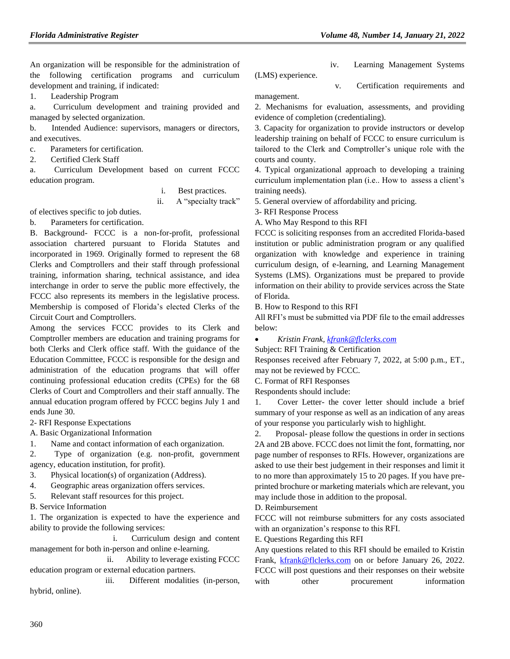An organization will be responsible for the administration of the following certification programs and curriculum development and training, if indicated:

1. Leadership Program

a. Curriculum development and training provided and managed by selected organization.

b. Intended Audience: supervisors, managers or directors, and executives.

c. Parameters for certification.

2. Certified Clerk Staff

a. Curriculum Development based on current FCCC education program.

i. Best practices.

ii. A "specialty track"

of electives specific to job duties.

b. Parameters for certification.

B. Background- FCCC is a non-for-profit, professional association chartered pursuant to Florida Statutes and incorporated in 1969. Originally formed to represent the 68 Clerks and Comptrollers and their staff through professional training, information sharing, technical assistance, and idea interchange in order to serve the public more effectively, the FCCC also represents its members in the legislative process. Membership is composed of Florida's elected Clerks of the Circuit Court and Comptrollers.

Among the services FCCC provides to its Clerk and Comptroller members are education and training programs for both Clerks and Clerk office staff. With the guidance of the Education Committee, FCCC is responsible for the design and administration of the education programs that will offer continuing professional education credits (CPEs) for the 68 Clerks of Court and Comptrollers and their staff annually. The annual education program offered by FCCC begins July 1 and ends June 30.

2- RFI Response Expectations

A. Basic Organizational Information

1. Name and contact information of each organization.

2. Type of organization (e.g. non-profit, government agency, education institution, for profit).

3. Physical location(s) of organization (Address).

4. Geographic areas organization offers services.

5. Relevant staff resources for this project.

B. Service Information

1. The organization is expected to have the experience and ability to provide the following services:

 i. Curriculum design and content management for both in-person and online e-learning.

 ii. Ability to leverage existing FCCC education program or external education partners.

 iii. Different modalities (in-person, hybrid, online).

(LMS) experience.

management.

iv. Learning Management Systems

v. Certification requirements and

2. Mechanisms for evaluation, assessments, and providing evidence of completion (credentialing).

3. Capacity for organization to provide instructors or develop leadership training on behalf of FCCC to ensure curriculum is tailored to the Clerk and Comptroller's unique role with the courts and county.

4. Typical organizational approach to developing a training curriculum implementation plan (i.e.. How to assess a client's training needs).

5. General overview of affordability and pricing.

3- RFI Response Process

A. Who May Respond to this RFI

FCCC is soliciting responses from an accredited Florida-based institution or public administration program or any qualified organization with knowledge and experience in training curriculum design, of e-learning, and Learning Management Systems (LMS). Organizations must be prepared to provide information on their ability to provide services across the State of Florida.

B. How to Respond to this RFI

All RFI's must be submitted via PDF file to the email addresses below:

*Kristin Frank, [kfrank@flclerks.com](mailto:kfrank@flclerks.com)*

Subject: RFI Training & Certification Responses received after February 7, 2022, at 5:00 p.m., ET., may not be reviewed by FCCC.

C. Format of RFI Responses

Respondents should include:

1. Cover Letter- the cover letter should include a brief summary of your response as well as an indication of any areas of your response you particularly wish to highlight.

2. Proposal- please follow the questions in order in sections 2A and 2B above. FCCC does not limit the font, formatting, nor page number of responses to RFIs. However, organizations are asked to use their best judgement in their responses and limit it to no more than approximately 15 to 20 pages. If you have preprinted brochure or marketing materials which are relevant, you may include those in addition to the proposal.

D. Reimbursement

FCCC will not reimburse submitters for any costs associated with an organization's response to this RFI.

E. Questions Regarding this RFI

Any questions related to this RFI should be emailed to Kristin Frank, [kfrank@flclerks.com](mailto:kfrank@flclerks.com) on or before January 26, 2022. FCCC will post questions and their responses on their website with other procurement information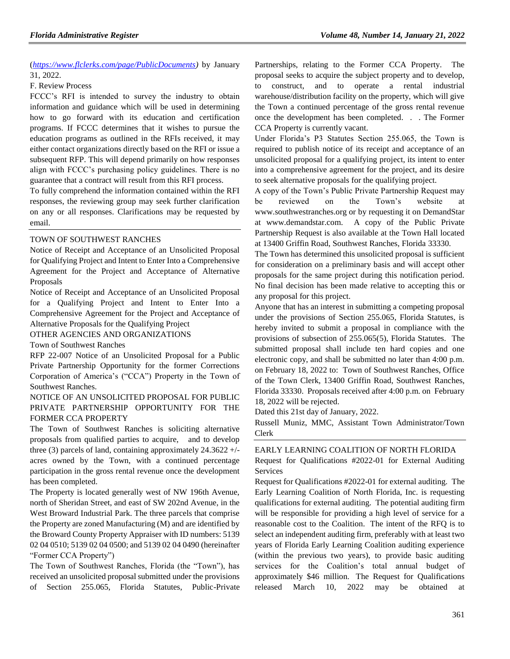(*[https://www.flclerks.com/page/PublicDocuments\)](https://www.flclerks.com/page/PublicDocuments)* by January 31, 2022.

#### F. Review Process

FCCC's RFI is intended to survey the industry to obtain information and guidance which will be used in determining how to go forward with its education and certification programs. If FCCC determines that it wishes to pursue the education programs as outlined in the RFIs received, it may either contact organizations directly based on the RFI or issue a subsequent RFP. This will depend primarily on how responses align with FCCC's purchasing policy guidelines. There is no guarantee that a contract will result from this RFI process.

To fully comprehend the information contained within the RFI responses, the reviewing group may seek further clarification on any or all responses. Clarifications may be requested by email.

#### [TOWN OF SOUTHWEST RANCHES](https://www.flrules.org/gateway/organization.asp?id=1320)

Notice of Receipt and Acceptance of an Unsolicited Proposal for Qualifying Project and Intent to Enter Into a Comprehensive Agreement for the Project and Acceptance of Alternative Proposals

Notice of Receipt and Acceptance of an Unsolicited Proposal for a Qualifying Project and Intent to Enter Into a Comprehensive Agreement for the Project and Acceptance of Alternative Proposals for the Qualifying Project

#### OTHER AGENCIES AND ORGANIZATIONS

Town of Southwest Ranches

RFP 22-007 Notice of an Unsolicited Proposal for a Public Private Partnership Opportunity for the former Corrections Corporation of America's ("CCA") Property in the Town of Southwest Ranches.

# NOTICE OF AN UNSOLICITED PROPOSAL FOR PUBLIC PRIVATE PARTNERSHIP OPPORTUNITY FOR THE FORMER CCA PROPERTY

The Town of Southwest Ranches is soliciting alternative proposals from qualified parties to acquire, and to develop three (3) parcels of land, containing approximately  $24.3622 +/$ acres owned by the Town, with a continued percentage participation in the gross rental revenue once the development has been completed.

The Property is located generally west of NW 196th Avenue, north of Sheridan Street, and east of SW 202nd Avenue, in the West Broward Industrial Park. The three parcels that comprise the Property are zoned Manufacturing (M) and are identified by the Broward County Property Appraiser with ID numbers: 5139 02 04 0510; 5139 02 04 0500; and 5139 02 04 0490 (hereinafter "Former CCA Property")

The Town of Southwest Ranches, Florida (the "Town"), has received an unsolicited proposal submitted under the provisions of Section 255.065, Florida Statutes, Public-Private

Partnerships, relating to the Former CCA Property. The proposal seeks to acquire the subject property and to develop, to construct, and to operate a rental industrial warehouse/distribution facility on the property, which will give the Town a continued percentage of the gross rental revenue once the development has been completed. . . The Former CCA Property is currently vacant.

Under Florida's P3 Statutes Section 255.065, the Town is required to publish notice of its receipt and acceptance of an unsolicited proposal for a qualifying project, its intent to enter into a comprehensive agreement for the project, and its desire to seek alternative proposals for the qualifying project.

A copy of the Town's Public Private Partnership Request may be reviewed on the Town's website at www.southwestranches.org or by requesting it on DemandStar at [www.demandstar.com.](http://www.demandstar.com/) A copy of the Public Private Partnership Request is also available at the Town Hall located at 13400 Griffin Road, Southwest Ranches, Florida 33330.

The Town has determined this unsolicited proposal is sufficient for consideration on a preliminary basis and will accept other proposals for the same project during this notification period. No final decision has been made relative to accepting this or any proposal for this project.

Anyone that has an interest in submitting a competing proposal under the provisions of Section 255.065, Florida Statutes, is hereby invited to submit a proposal in compliance with the provisions of subsection of 255.065(5), Florida Statutes. The submitted proposal shall include ten hard copies and one electronic copy, and shall be submitted no later than 4:00 p.m. on February 18, 2022 to: Town of Southwest Ranches, Office of the Town Clerk, 13400 Griffin Road, Southwest Ranches, Florida 33330. Proposals received after 4:00 p.m. on February 18, 2022 will be rejected.

Dated this 21st day of January, 2022.

Russell Muniz, MMC, Assistant Town Administrator/Town Clerk

## [EARLY LEARNING COALITION OF NORTH FLORIDA](https://www.flrules.org/gateway/organization.asp?id=708) Request for Qualifications #2022-01 for External Auditing Services

Request for Qualifications #2022-01 for external auditing. The Early Learning Coalition of North Florida, Inc. is requesting qualifications for external auditing. The potential auditing firm will be responsible for providing a high level of service for a reasonable cost to the Coalition. The intent of the RFQ is to select an independent auditing firm, preferably with at least two years of Florida Early Learning Coalition auditing experience (within the previous two years), to provide basic auditing services for the Coalition's total annual budget of approximately \$46 million. The Request for Qualifications released March 10, 2022 may be obtained at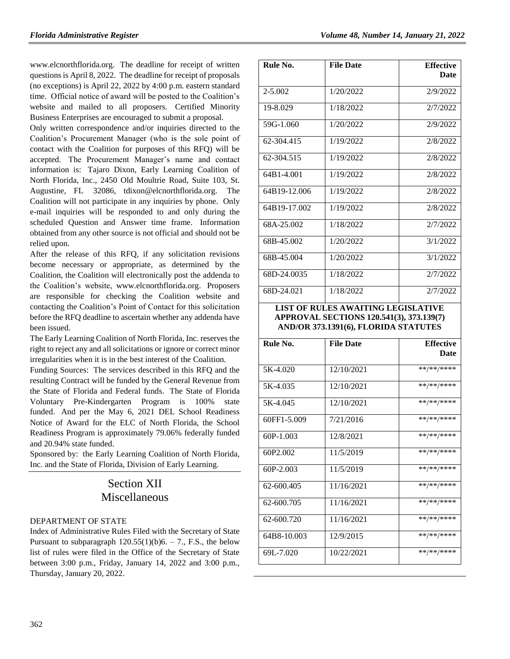[www.elcnorthflorida.org.](http://www.elcnorthflorida.org/) The deadline for receipt of written questions is April 8, 2022. The deadline for receipt of proposals (no exceptions) is April 22, 2022 by 4:00 p.m. eastern standard time. Official notice of award will be posted to the Coalition's website and mailed to all proposers. Certified Minority Business Enterprises are encouraged to submit a proposal.

Only written correspondence and/or inquiries directed to the Coalition's Procurement Manager (who is the sole point of contact with the Coalition for purposes of this RFQ) will be accepted. The Procurement Manager's name and contact information is: Tajaro Dixon, Early Learning Coalition of North Florida, Inc., 2450 Old Moultrie Road, Suite 103, St. Augustine, FL 32086, [tdixon@elcnorthflorida.org.](mailto:tdixon@elcnorthflorida.org) The Coalition will not participate in any inquiries by phone. Only e-mail inquiries will be responded to and only during the scheduled Question and Answer time frame. Information obtained from any other source is not official and should not be relied upon.

After the release of this RFQ, if any solicitation revisions become necessary or appropriate, as determined by the Coalition, the Coalition will electronically post the addenda to the Coalition's website, [www.elcnorthflorida.org.](http://www.elcnorthflorida.org/) Proposers are responsible for checking the Coalition website and contacting the Coalition's Point of Contact for this solicitation before the RFQ deadline to ascertain whether any addenda have been issued.

The Early Learning Coalition of North Florida, Inc. reserves the right to reject any and all solicitations or ignore or correct minor irregularities when it is in the best interest of the Coalition.

Funding Sources: The services described in this RFQ and the resulting Contract will be funded by the General Revenue from the State of Florida and Federal funds. The State of Florida Voluntary Pre-Kindergarten Program is 100% state funded. And per the May 6, 2021 DEL School Readiness Notice of Award for the ELC of North Florida, the School Readiness Program is approximately 79.06% federally funded and 20.94% state funded.

Sponsored by: the Early Learning Coalition of North Florida, Inc. and the State of Florida, Division of Early Learning.

# Section XII Miscellaneous

# [DEPARTMENT OF STATE](https://www.flrules.org/gateway/department.asp?id=1)

Index of Administrative Rules Filed with the Secretary of State Pursuant to subparagraph  $120.55(1)(b)6. - 7$ ., F.S., the below list of rules were filed in the Office of the Secretary of State between 3:00 p.m., Friday, January 14, 2022 and 3:00 p.m., Thursday, January 20, 2022.

| Rule No.     | <b>File Date</b> | <b>Effective</b> |
|--------------|------------------|------------------|
|              |                  | <b>Date</b>      |
| 2-5.002      | 1/20/2022        | 2/9/2022         |
| 19-8.029     | 1/18/2022        | 2/7/2022         |
| 59G-1.060    | 1/20/2022        | 2/9/2022         |
| 62-304.415   | 1/19/2022        | 2/8/2022         |
| 62-304.515   | 1/19/2022        | 2/8/2022         |
| 64B1-4.001   | 1/19/2022        | 2/8/2022         |
| 64B19-12.006 | 1/19/2022        | 2/8/2022         |
| 64B19-17.002 | 1/19/2022        | 2/8/2022         |
| 68A-25.002   | 1/18/2022        | 2/7/2022         |
| 68B-45.002   | 1/20/2022        | 3/1/2022         |
| 68B-45.004   | 1/20/2022        | 3/1/2022         |
| 68D-24.0035  | 1/18/2022        | 2/7/2022         |
| 68D-24.021   | 1/18/2022        | 2/7/2022         |

#### **LIST OF RULES AWAITING LEGISLATIVE APPROVAL SECTIONS 120.541(3), 373.139(7) AND/OR 373.1391(6), FLORIDA STATUTES**

|            | <b>Effective</b> |
|------------|------------------|
|            | <b>Date</b>      |
|            |                  |
| 12/10/2021 | **/**/****       |
| 12/10/2021 | **/**/****       |
| 12/10/2021 | **/**/****       |
| 7/21/2016  | **/**/****       |
| 12/8/2021  | **/**/****       |
| 11/5/2019  | **/**/****       |
| 11/5/2019  | **/**/****       |
| 11/16/2021 | **/**/****       |
| 11/16/2021 | **/**/****       |
| 11/16/2021 | **/**/****       |
| 12/9/2015  | **/**/****       |
| 10/22/2021 | **/**/****       |
|            | <b>File Date</b> |